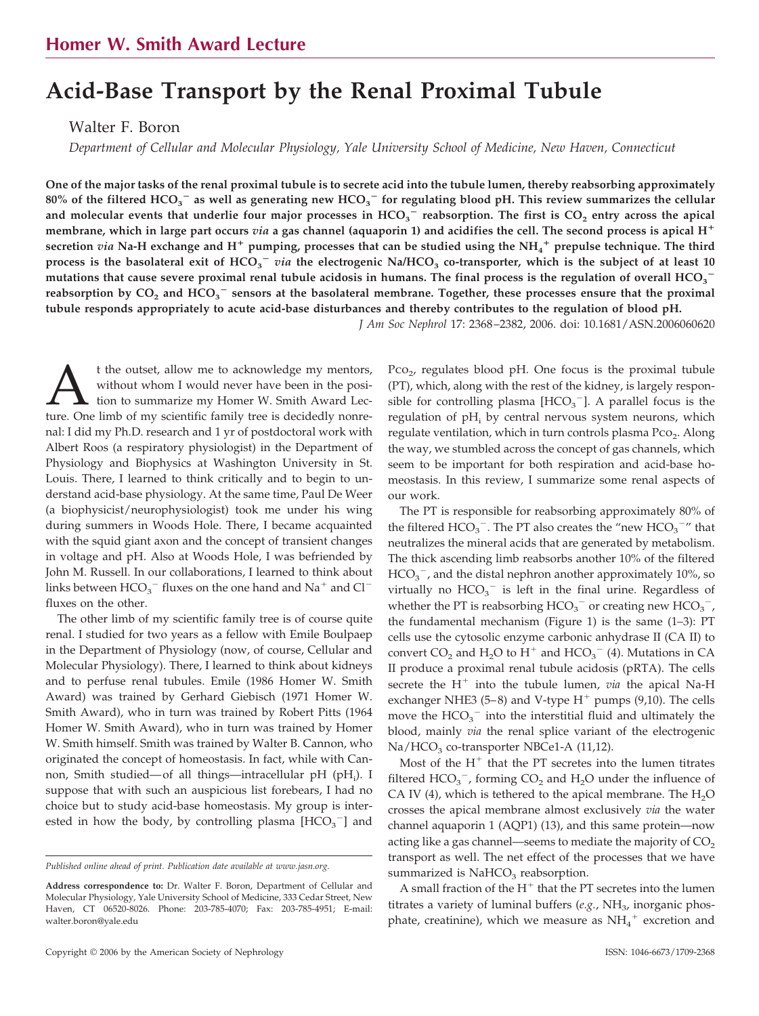# **Acid-Base Transport by the Renal Proximal Tubule**

Walter F. Boron

*Department of Cellular and Molecular Physiology, Yale University School of Medicine, New Haven, Connecticut*

**One of the major tasks of the renal proximal tubule is to secrete acid into the tubule lumen, thereby reabsorbing approximately**  $80\%$  of the filtered HCO<sub>3</sub>  $^-$  as well as generating new HCO<sub>3</sub>  $^-$  for regulating blood pH. This review summarizes the cellular and molecular events that underlie four major processes in  $HCO_3^-$  reabsorption. The first is  $CO_2$  entry across the apical **membrane, which in large part occurs** *via* **a gas channel (aquaporin 1) and acidifies the cell. The second process is apical H** secretion  $via$  Na-H exchange and H<sup>+</sup> pumping, processes that can be studied using the NH<sub>4</sub><sup>+</sup> prepulse technique. The third process is the basolateral exit of  $HCO_3^-$  *via* the electrogenic Na/HCO<sub>3</sub> co-transporter, which is the subject of at least 10 mutations that cause severe proximal renal tubule acidosis in humans. The final process is the regulation of overall  $\rm{HCO_3}^$ reabsorption by CO<sub>2</sub> and HCO<sub>3</sub> sensors at the basolateral membrane. Together, these processes ensure that the proximal **tubule responds appropriately to acute acid-base disturbances and thereby contributes to the regulation of blood pH.**

*J Am Soc Nephrol* 17: 2368 –2382, 2006. doi: 10.1681/ASN.2006060620

t the outset, allow me to acknowledge my mentors,<br>without whom I would never have been in the posi-<br>ture. One limb of my scientific family tree is decidedly nonrewithout whom I would never have been in the position to summarize my Homer W. Smith Award Lecnal: I did my Ph.D. research and 1 yr of postdoctoral work with Albert Roos (a respiratory physiologist) in the Department of Physiology and Biophysics at Washington University in St. Louis. There, I learned to think critically and to begin to understand acid-base physiology. At the same time, Paul De Weer (a biophysicist/neurophysiologist) took me under his wing during summers in Woods Hole. There, I became acquainted with the squid giant axon and the concept of transient changes in voltage and pH. Also at Woods Hole, I was befriended by John M. Russell. In our collaborations, I learned to think about links between  $\mathrm{HCO_3}^-$  fluxes on the one hand and  $\mathrm{Na}^+$  and  $\mathrm{Cl}^$ fluxes on the other.

The other limb of my scientific family tree is of course quite renal. I studied for two years as a fellow with Emile Boulpaep in the Department of Physiology (now, of course, Cellular and Molecular Physiology). There, I learned to think about kidneys and to perfuse renal tubules. Emile (1986 Homer W. Smith Award) was trained by Gerhard Giebisch (1971 Homer W. Smith Award), who in turn was trained by Robert Pitts (1964 Homer W. Smith Award), who in turn was trained by Homer W. Smith himself. Smith was trained by Walter B. Cannon, who originated the concept of homeostasis. In fact, while with Cannon, Smith studied—of all things—intracellular pH (pH<sub>i</sub>). I suppose that with such an auspicious list forebears, I had no choice but to study acid-base homeostasis. My group is interested in how the body, by controlling plasma  $[HCO<sub>3</sub><sup>-</sup>]$  and

Pco<sub>2</sub>, regulates blood pH. One focus is the proximal tubule (PT), which, along with the rest of the kidney, is largely responsible for controlling plasma  $[HCO_3^-]$ . A parallel focus is the regulation of  $pH_i$  by central nervous system neurons, which regulate ventilation, which in turn controls plasma Pco<sub>2</sub>. Along the way, we stumbled across the concept of gas channels, which seem to be important for both respiration and acid-base homeostasis. In this review, I summarize some renal aspects of our work.

The PT is responsible for reabsorbing approximately 80% of the filtered  $HCO_3^-$ . The PT also creates the "new  $HCO_3^-$ " that neutralizes the mineral acids that are generated by metabolism. The thick ascending limb reabsorbs another 10% of the filtered  $HCO_3^-$ , and the distal nephron another approximately 10%, so virtually no  $HCO_3^-$  is left in the final urine. Regardless of whether the PT is reabsorbing  $HCO_3^-$  or creating new  $HCO_3^-$ , the fundamental mechanism (Figure 1) is the same (1–3): PT cells use the cytosolic enzyme carbonic anhydrase II (CA II) to convert  $CO_2$  and  $H_2O$  to  $H^+$  and  $HCO_3^-$  (4). Mutations in CA II produce a proximal renal tubule acidosis (pRTA). The cells secrete the H<sup>+</sup> into the tubule lumen, *via* the apical Na-H exchanger NHE3  $(5-8)$  and V-type  $H^+$  pumps  $(9,10)$ . The cells move the  $HCO_3^-$  into the interstitial fluid and ultimately the blood, mainly *via* the renal splice variant of the electrogenic  $Na/HCO<sub>3</sub>$  co-transporter NBCe1-A (11,12).

Most of the  $H^+$  that the PT secretes into the lumen titrates filtered  $HCO_3^-$ , forming  $CO_2$  and  $H_2O$  under the influence of CA IV (4), which is tethered to the apical membrane. The  $H_2O$ crosses the apical membrane almost exclusively *via* the water channel aquaporin 1 (AQP1) (13), and this same protein—now acting like a gas channel—seems to mediate the majority of  $CO<sub>2</sub>$ transport as well. The net effect of the processes that we have summarized is  $NAHCO<sub>3</sub>$  reabsorption.

A small fraction of the  $H^+$  that the PT secretes into the lumen titrates a variety of luminal buffers (e.g., NH<sub>3</sub>, inorganic phosphate, creatinine), which we measure as  $NH_4^+$  excretion and

*Published online ahead of print. Publication date available at www.jasn.org.*

**Address correspondence to:** Dr. Walter F. Boron, Department of Cellular and Molecular Physiology, Yale University School of Medicine, 333 Cedar Street, New Haven, CT 06520-8026. Phone: 203-785-4070; Fax: 203-785-4951; E-mail: walter.boron@yale.edu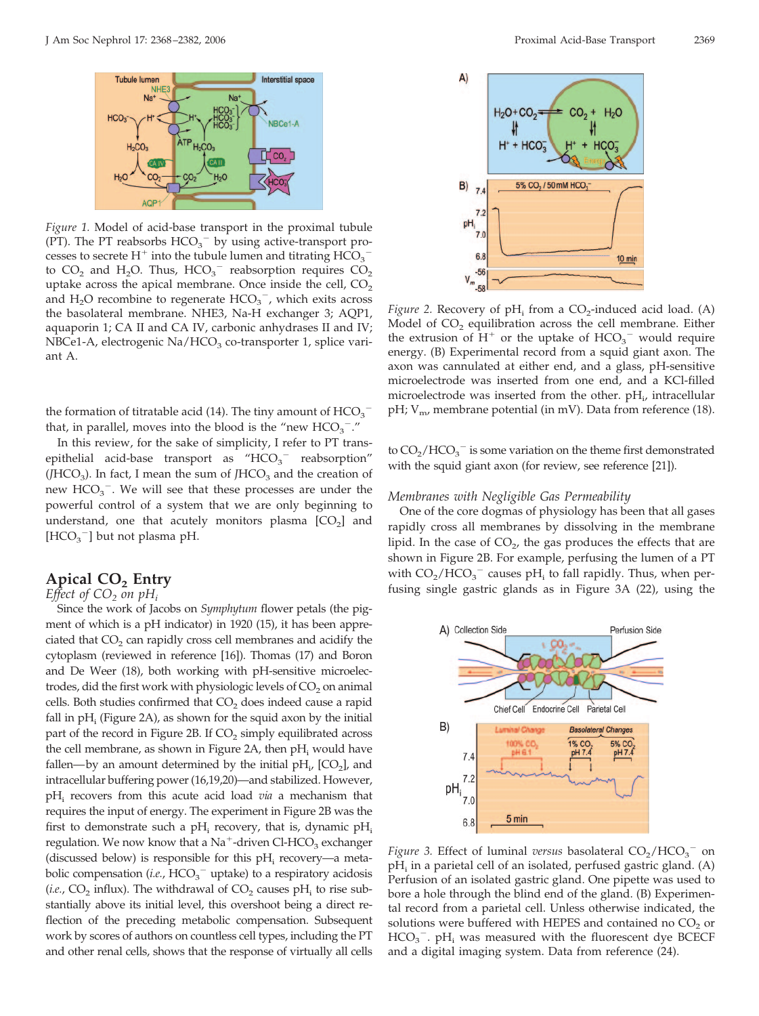

*Figure 1.* Model of acid-base transport in the proximal tubule (PT). The PT reabsorbs  $HCO_3^-$  by using active-transport processes to secrete  $H^+$  into the tubule lumen and titrating  $\mathrm{HCO_3}^$ to  $CO_2$  and H<sub>2</sub>O. Thus, HCO<sub>3</sub><sup>-</sup> reabsorption requires  $CO_2$ uptake across the apical membrane. Once inside the cell,  $CO<sub>2</sub>$ and  $H_2O$  recombine to regenerate  $HCO_3^-$ , which exits across the basolateral membrane. NHE3, Na-H exchanger 3; AQP1, aquaporin 1; CA II and CA IV, carbonic anhydrases II and IV;  $NBCe1-A$ , electrogenic  $Na/HCO<sub>3</sub>$  co-transporter 1, splice variant A.

the formation of titratable acid (14). The tiny amount of  $\mathrm{HCO_3}^$ that, in parallel, moves into the blood is the "new  $HCO_3$ ".

In this review, for the sake of simplicity, I refer to PT transepithelial acid-base transport as "HCO<sub>3</sub><sup>-</sup> reabsorption" (*JHCO*<sub>3</sub>). In fact, I mean the sum of *JHCO*<sub>3</sub> and the creation of new  $HCO_3^-$ . We will see that these processes are under the powerful control of a system that we are only beginning to understand, one that acutely monitors plasma  $[CO<sub>2</sub>]$  and  $[\mathrm{HCO}_{3}^{-}]$  but not plasma pH.

# Apical CO<sub>2</sub> Entry

*Effect of CO<sub>2</sub> on*  $pH_i$ 

Since the work of Jacobs on *Symphytum* flower petals (the pigment of which is a pH indicator) in 1920 (15), it has been appreciated that  $CO<sub>2</sub>$  can rapidly cross cell membranes and acidify the cytoplasm (reviewed in reference [16]). Thomas (17) and Boron and De Weer (18), both working with pH-sensitive microelectrodes, did the first work with physiologic levels of  $CO<sub>2</sub>$  on animal cells. Both studies confirmed that  $CO<sub>2</sub>$  does indeed cause a rapid fall in  $pH_i$  (Figure 2A), as shown for the squid axon by the initial part of the record in Figure 2B. If  $CO<sub>2</sub>$  simply equilibrated across the cell membrane, as shown in Figure 2A, then  $pH_i$  would have fallen—by an amount determined by the initial  $pH_i$ ,  $[CO_2]$ , and intracellular buffering power (16,19,20)—and stabilized. However, pHi recovers from this acute acid load *via* a mechanism that requires the input of energy. The experiment in Figure 2B was the first to demonstrate such a  $pH_i$  recovery, that is, dynamic  $pH_i$ regulation. We now know that a  $Na^+$ -driven Cl-HCO<sub>3</sub> exchanger (discussed below) is responsible for this  $pH_i$  recovery—a metabolic compensation (*i.e.*,  $HCO_3^-$  uptake) to a respiratory acidosis  $(i.e., CO<sub>2</sub>$  influx). The withdrawal of  $CO<sub>2</sub>$  causes pH<sub>i</sub> to rise substantially above its initial level, this overshoot being a direct reflection of the preceding metabolic compensation. Subsequent work by scores of authors on countless cell types, including the PT and other renal cells, shows that the response of virtually all cells



*Figure 2.* Recovery of  $pH_i$  from a  $CO_2$ -induced acid load. (A) Model of  $CO<sub>2</sub>$  equilibration across the cell membrane. Either the extrusion of  $H^+$  or the uptake of  $HCO_3^-$  would require energy. (B) Experimental record from a squid giant axon. The axon was cannulated at either end, and a glass, pH-sensitive microelectrode was inserted from one end, and a KCl-filled microelectrode was inserted from the other.  $pH_i$ , intracellular pH;  $V_{\text{m}}$ , membrane potential (in mV). Data from reference (18).

to  $CO_2/HCO_3^-$  is some variation on the theme first demonstrated with the squid giant axon (for review, see reference [21]).

#### *Membranes with Negligible Gas Permeability*

One of the core dogmas of physiology has been that all gases rapidly cross all membranes by dissolving in the membrane lipid. In the case of  $CO<sub>2</sub>$ , the gas produces the effects that are shown in Figure 2B. For example, perfusing the lumen of a PT with  $CO_2/HCO_3^-$  causes pH<sub>i</sub> to fall rapidly. Thus, when perfusing single gastric glands as in Figure 3A (22), using the



*Figure 3.* Effect of luminal *versus* basolateral  $CO_2/HCO_3^-$  on  $pH_i$  in a parietal cell of an isolated, perfused gastric gland. (A) Perfusion of an isolated gastric gland. One pipette was used to bore a hole through the blind end of the gland. (B) Experimental record from a parietal cell. Unless otherwise indicated, the solutions were buffered with HEPES and contained no  $CO<sub>2</sub>$  or  $HCO_3^-$ . pH<sub>i</sub> was measured with the fluorescent dye BCECF and a digital imaging system. Data from reference (24).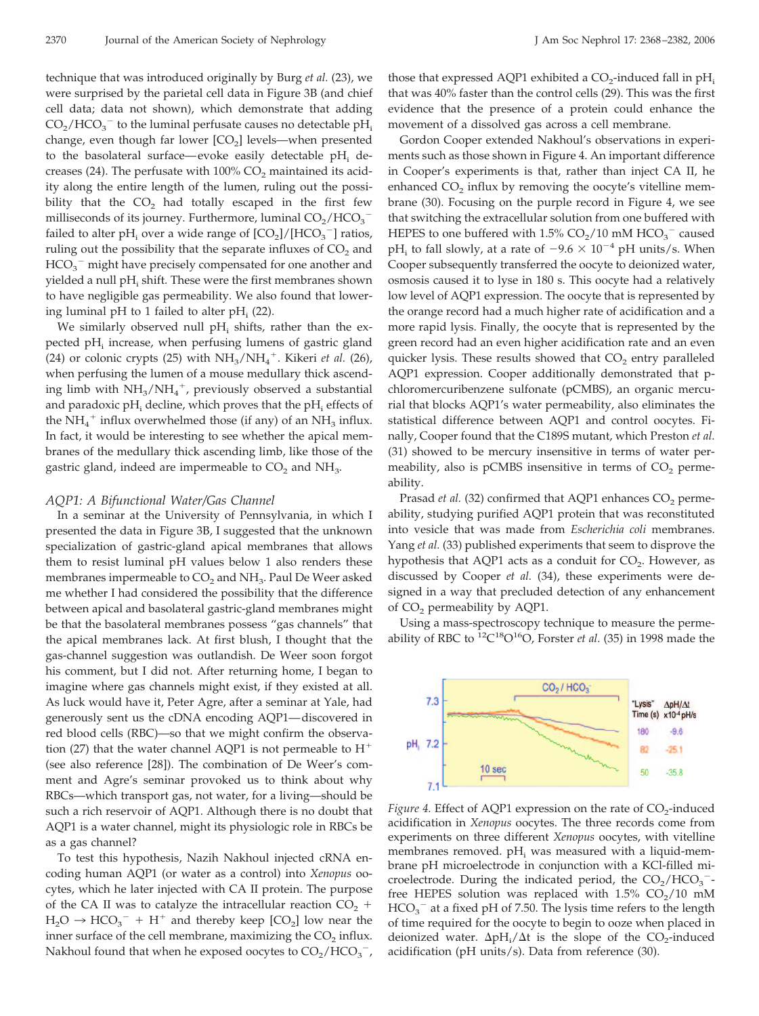technique that was introduced originally by Burg *et al.* (23), we were surprised by the parietal cell data in Figure 3B (and chief cell data; data not shown), which demonstrate that adding  $CO_2/HCO_3^-$  to the luminal perfusate causes no detectable pH<sub>i</sub> change, even though far lower  $[CO<sub>2</sub>]$  levels—when presented to the basolateral surface—evoke easily detectable  $pH_i$  decreases (24). The perfusate with  $100\%$  CO<sub>2</sub> maintained its acidity along the entire length of the lumen, ruling out the possibility that the  $CO<sub>2</sub>$  had totally escaped in the first few milliseconds of its journey. Furthermore, luminal  $\mathrm{CO_2}/\mathrm{HCO_3}^{-1}$ failed to alter pH<sub>i</sub> over a wide range of  $[CO_2]/[HCO_3^-]$  ratios, ruling out the possibility that the separate influxes of  $CO<sub>2</sub>$  and  $HCO_3^-$  might have precisely compensated for one another and yielded a null pH<sub>i</sub> shift. These were the first membranes shown to have negligible gas permeability. We also found that lowering luminal pH to 1 failed to alter pH<sub>i</sub> (22).

We similarly observed null  $pH_i$  shifts, rather than the expected pH<sub>i</sub> increase, when perfusing lumens of gastric gland (24) or colonic crypts (25) with  $NH_3/NH_4^+$ . Kikeri *et al.* (26), when perfusing the lumen of a mouse medullary thick ascending limb with  $NH_3/NH_4^+$ , previously observed a substantial and paradoxic pH<sub>i</sub> decline, which proves that the pH<sub>i</sub> effects of the  $\mathrm{NH}_4^+$  influx overwhelmed those (if any) of an  $\mathrm{NH}_3$  influx. In fact, it would be interesting to see whether the apical membranes of the medullary thick ascending limb, like those of the gastric gland, indeed are impermeable to  $CO<sub>2</sub>$  and  $NH<sub>3</sub>$ .

#### *AQP1: A Bifunctional Water/Gas Channel*

In a seminar at the University of Pennsylvania, in which I presented the data in Figure 3B, I suggested that the unknown specialization of gastric-gland apical membranes that allows them to resist luminal pH values below 1 also renders these membranes impermeable to  $CO<sub>2</sub>$  and NH<sub>3</sub>. Paul De Weer asked me whether I had considered the possibility that the difference between apical and basolateral gastric-gland membranes might be that the basolateral membranes possess "gas channels" that the apical membranes lack. At first blush, I thought that the gas-channel suggestion was outlandish. De Weer soon forgot his comment, but I did not. After returning home, I began to imagine where gas channels might exist, if they existed at all. As luck would have it, Peter Agre, after a seminar at Yale, had generously sent us the cDNA encoding AQP1—discovered in red blood cells (RBC)—so that we might confirm the observation (27) that the water channel AQP1 is not permeable to  $H^+$ (see also reference [28]). The combination of De Weer's comment and Agre's seminar provoked us to think about why RBCs—which transport gas, not water, for a living—should be such a rich reservoir of AQP1. Although there is no doubt that AQP1 is a water channel, might its physiologic role in RBCs be as a gas channel?

To test this hypothesis, Nazih Nakhoul injected cRNA encoding human AQP1 (or water as a control) into *Xenopus* oocytes, which he later injected with CA II protein. The purpose of the CA II was to catalyze the intracellular reaction  $CO_2$  +  $H_2O \rightarrow HCO_3^- + H^+$  and thereby keep  $[CO_2]$  low near the inner surface of the cell membrane, maximizing the  $CO<sub>2</sub>$  influx. Nakhoul found that when he exposed oocytes to  $\rm CO_2/HCO_3^-$ , those that expressed AQP1 exhibited a  $CO<sub>2</sub>$ -induced fall in pH<sub>i</sub> that was 40% faster than the control cells (29). This was the first evidence that the presence of a protein could enhance the movement of a dissolved gas across a cell membrane.

Gordon Cooper extended Nakhoul's observations in experiments such as those shown in Figure 4. An important difference in Cooper's experiments is that, rather than inject CA II, he enhanced  $CO<sub>2</sub>$  influx by removing the oocyte's vitelline membrane (30). Focusing on the purple record in Figure 4, we see that switching the extracellular solution from one buffered with HEPES to one buffered with 1.5%  $CO_2/10$  mM  $HCO_3^-$  caused pH<sub>i</sub> to fall slowly, at a rate of  $-9.6 \times 10^{-4}$  pH units/s. When Cooper subsequently transferred the oocyte to deionized water, osmosis caused it to lyse in 180 s. This oocyte had a relatively low level of AQP1 expression. The oocyte that is represented by the orange record had a much higher rate of acidification and a more rapid lysis. Finally, the oocyte that is represented by the green record had an even higher acidification rate and an even quicker lysis. These results showed that  $CO<sub>2</sub>$  entry paralleled AQP1 expression. Cooper additionally demonstrated that pchloromercuribenzene sulfonate (pCMBS), an organic mercurial that blocks AQP1's water permeability, also eliminates the statistical difference between AQP1 and control oocytes. Finally, Cooper found that the C189S mutant, which Preston *et al.* (31) showed to be mercury insensitive in terms of water permeability, also is pCMBS insensitive in terms of  $CO<sub>2</sub>$  permeability.

Prasad *et al.* (32) confirmed that AQP1 enhances CO<sub>2</sub> permeability, studying purified AQP1 protein that was reconstituted into vesicle that was made from *Escherichia coli* membranes. Yang *et al.* (33) published experiments that seem to disprove the hypothesis that AQP1 acts as a conduit for  $CO<sub>2</sub>$ . However, as discussed by Cooper *et al.* (34), these experiments were designed in a way that precluded detection of any enhancement of CO<sub>2</sub> permeability by AQP1.

Using a mass-spectroscopy technique to measure the permeability of RBC to <sup>12</sup>C<sup>18</sup>O<sup>16</sup>O, Forster *et al.* (35) in 1998 made the



*Figure 4.* Effect of AQP1 expression on the rate of  $CO<sub>2</sub>$ -induced acidification in *Xenopus* oocytes. The three records come from experiments on three different *Xenopus* oocytes, with vitelline membranes removed.  $pH_i$  was measured with a liquid-membrane pH microelectrode in conjunction with a KCl-filled microelectrode. During the indicated period, the  $CO_2/HCO_3^-$ free HEPES solution was replaced with  $1.5\%$  CO<sub>2</sub>/10 mM  $\mathrm{HCO_3}^-$  at a fixed pH of 7.50. The lysis time refers to the length of time required for the oocyte to begin to ooze when placed in deionized water.  $\Delta pH_i/\Delta t$  is the slope of the CO<sub>2</sub>-induced acidification (pH units/s). Data from reference (30).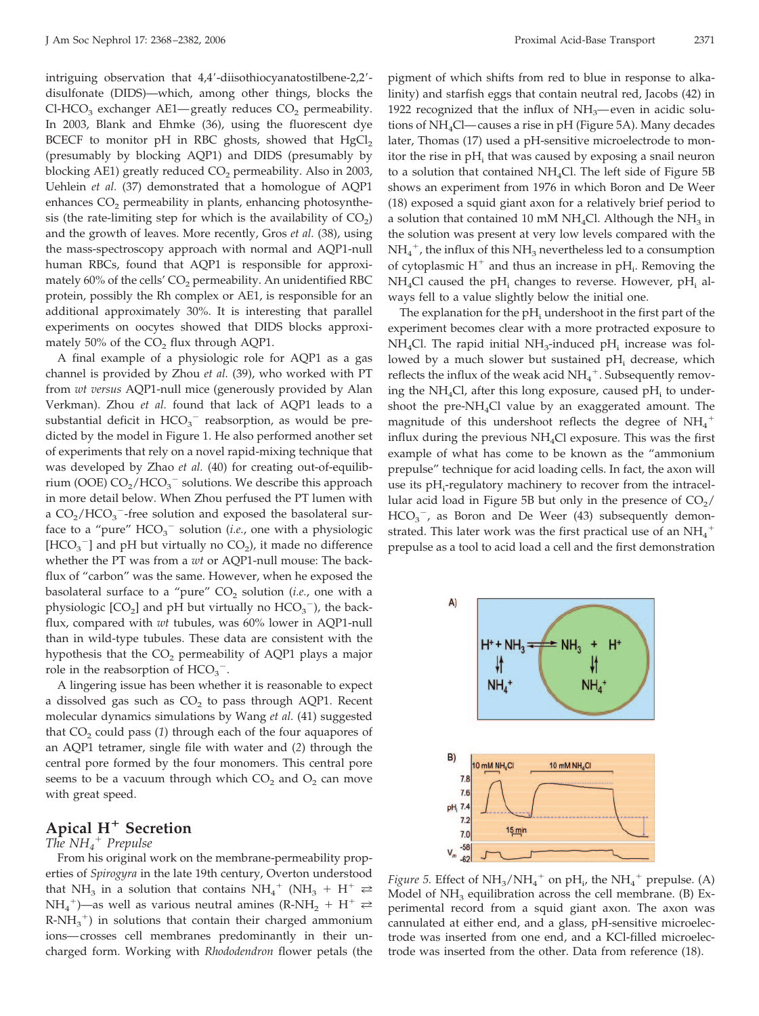intriguing observation that 4,4'-diisothiocyanatostilbene-2,2'disulfonate (DIDS)—which, among other things, blocks the Cl-HCO<sub>3</sub> exchanger AE1—greatly reduces  $CO<sub>2</sub>$  permeability. In 2003, Blank and Ehmke (36), using the fluorescent dye BCECF to monitor pH in RBC ghosts, showed that  $HgCl<sub>2</sub>$ (presumably by blocking AQP1) and DIDS (presumably by blocking AE1) greatly reduced  $CO<sub>2</sub>$  permeability. Also in 2003, Uehlein *et al.* (37) demonstrated that a homologue of AQP1 enhances  $CO<sub>2</sub>$  permeability in plants, enhancing photosynthesis (the rate-limiting step for which is the availability of  $CO<sub>2</sub>$ ) and the growth of leaves. More recently, Gros *et al.* (38), using the mass-spectroscopy approach with normal and AQP1-null human RBCs, found that AQP1 is responsible for approximately  $60\%$  of the cells'  $CO<sub>2</sub>$  permeability. An unidentified RBC protein, possibly the Rh complex or AE1, is responsible for an additional approximately 30%. It is interesting that parallel experiments on oocytes showed that DIDS blocks approximately 50% of the  $CO<sub>2</sub>$  flux through AQP1.

A final example of a physiologic role for AQP1 as a gas channel is provided by Zhou *et al.* (39), who worked with PT from *wt versus* AQP1-null mice (generously provided by Alan Verkman). Zhou *et al.* found that lack of AQP1 leads to a substantial deficit in  $HCO_3^-$  reabsorption, as would be predicted by the model in Figure 1. He also performed another set of experiments that rely on a novel rapid-mixing technique that was developed by Zhao *et al.* (40) for creating out-of-equilibrium (OOE)  $CO_2/HCO_3^-$  solutions. We describe this approach in more detail below. When Zhou perfused the PT lumen with a  $CO_2/HCO_3$ <sup>-</sup>-free solution and exposed the basolateral surface to a "pure"  $HCO_3^-$  solution (*i.e.*, one with a physiologic [HCO<sub>3</sub><sup>-</sup>] and pH but virtually no  $CO<sub>2</sub>$ ), it made no difference whether the PT was from a *wt* or AQP1-null mouse: The backflux of "carbon" was the same. However, when he exposed the basolateral surface to a "pure" CO<sub>2</sub> solution (*i.e.*, one with a physiologic  $[CO_2]$  and pH but virtually no  $HCO_3^-$ ), the backflux, compared with *wt* tubules, was 60% lower in AQP1-null than in wild-type tubules. These data are consistent with the hypothesis that the  $CO<sub>2</sub>$  permeability of AQP1 plays a major role in the reabsorption of  $HCO_3^-$ .

A lingering issue has been whether it is reasonable to expect a dissolved gas such as  $CO<sub>2</sub>$  to pass through AQP1. Recent molecular dynamics simulations by Wang *et al.* (41) suggested that  $CO<sub>2</sub>$  could pass (1) through each of the four aquapores of an AQP1 tetramer, single file with water and (*2*) through the central pore formed by the four monomers. This central pore seems to be a vacuum through which  $CO<sub>2</sub>$  and  $O<sub>2</sub>$  can move with great speed.

# **Apical H**- **Secretion**

# *The NH4* - *Prepulse*

From his original work on the membrane-permeability properties of *Spirogyra* in the late 19th century, Overton understood that NH<sub>3</sub> in a solution that contains NH<sub>4</sub><sup>+</sup> (NH<sub>3</sub> + H<sup>+</sup>  $\rightleftharpoons$ NH<sub>4</sub><sup>+</sup>)—as well as various neutral amines (R-NH<sub>2</sub> + H<sup>+</sup>  $\rightleftharpoons$  $R-NH_3^{\ +}$ ) in solutions that contain their charged ammonium ions— crosses cell membranes predominantly in their uncharged form. Working with *Rhododendron* flower petals (the pigment of which shifts from red to blue in response to alkalinity) and starfish eggs that contain neutral red, Jacobs (42) in 1922 recognized that the influx of  $NH<sub>3</sub>$ —even in acidic solutions of  $NH<sub>4</sub>Cl$ —causes a rise in pH (Figure 5A). Many decades later, Thomas (17) used a pH-sensitive microelectrode to monitor the rise in  $pH_i$  that was caused by exposing a snail neuron to a solution that contained  $NH<sub>4</sub>Cl$ . The left side of Figure 5B shows an experiment from 1976 in which Boron and De Weer (18) exposed a squid giant axon for a relatively brief period to a solution that contained 10 mM NH<sub>4</sub>Cl. Although the NH<sub>3</sub> in the solution was present at very low levels compared with the  $NH_4^+$ , the influx of this  $NH_3$  nevertheless led to a consumption of cytoplasmic  $H^+$  and thus an increase in p $H_i$ . Removing the  $NH<sub>4</sub>Cl$  caused the pH<sub>i</sub> changes to reverse. However, pH<sub>i</sub> always fell to a value slightly below the initial one.

The explanation for the  $pH_i$  undershoot in the first part of the experiment becomes clear with a more protracted exposure to NH<sub>4</sub>Cl. The rapid initial NH<sub>3</sub>-induced pH<sub>i</sub> increase was followed by a much slower but sustained  $pH_i$  decrease, which reflects the influx of the weak acid  $NH_4^+$ . Subsequently removing the NH<sub>4</sub>Cl, after this long exposure, caused pH<sub>i</sub> to undershoot the pre-N $H_4$ Cl value by an exaggerated amount. The magnitude of this undershoot reflects the degree of  $\mathrm{NH}_4^+$ influx during the previous NH4Cl exposure. This was the first example of what has come to be known as the "ammonium prepulse" technique for acid loading cells. In fact, the axon will use its pH<sub>i</sub>-regulatory machinery to recover from the intracellular acid load in Figure 5B but only in the presence of  $CO<sub>2</sub>/$  $HCO_3^-$ , as Boron and De Weer (43) subsequently demonstrated. This later work was the first practical use of an  $\mathrm{NH}_4^+$ prepulse as a tool to acid load a cell and the first demonstration



*Figure 5.* Effect of  $NH_3/NH_4^+$  on  $pH_i$ , the  $NH_4^+$  prepulse. (A) Model of  $NH<sub>3</sub>$  equilibration across the cell membrane. (B) Experimental record from a squid giant axon. The axon was cannulated at either end, and a glass, pH-sensitive microelectrode was inserted from one end, and a KCl-filled microelectrode was inserted from the other. Data from reference (18).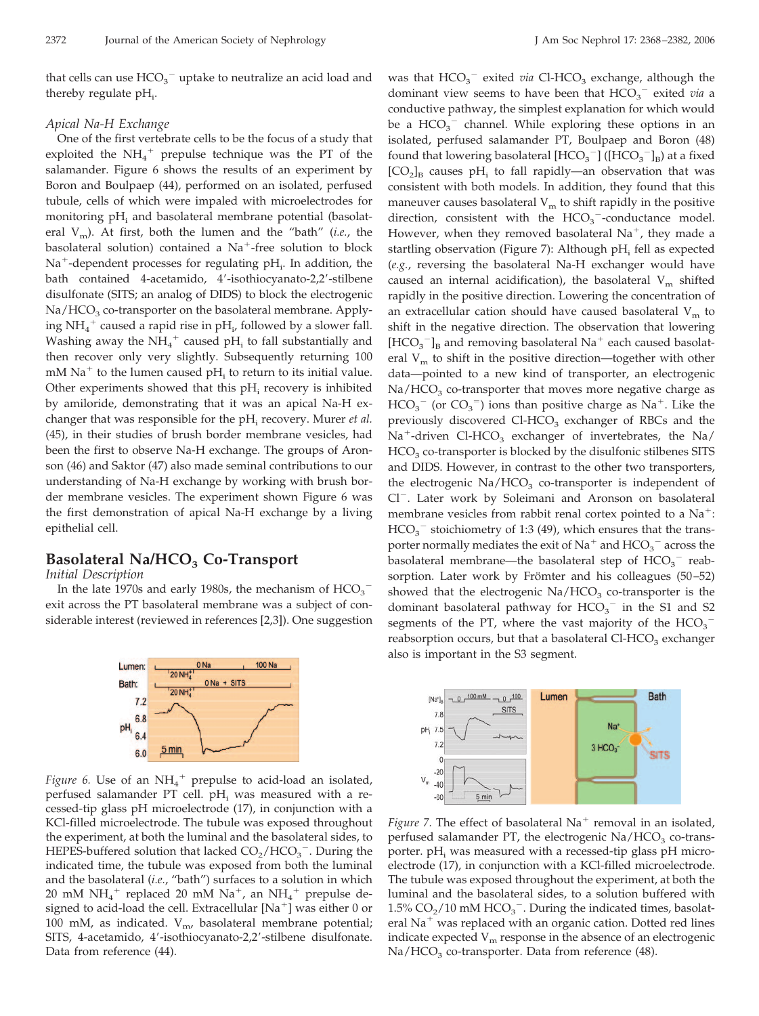that cells can use  $\mathrm{HCO}_3^+$  uptake to neutralize an acid load and thereby regulate  $pH_i$ .

#### *Apical Na-H Exchange*

One of the first vertebrate cells to be the focus of a study that exploited the  $NH_4^+$  prepulse technique was the PT of the salamander. Figure 6 shows the results of an experiment by Boron and Boulpaep (44), performed on an isolated, perfused tubule, cells of which were impaled with microelectrodes for monitoring pH<sub>i</sub> and basolateral membrane potential (basolateral  $V_m$ ). At first, both the lumen and the "bath" (*i.e.*, the basolateral solution) contained a Na<sup>+</sup>-free solution to block Na<sup>+</sup>-dependent processes for regulating pH<sub>i</sub>. In addition, the bath contained 4-acetamido, 4'-isothiocyanato-2,2'-stilbene disulfonate (SITS; an analog of DIDS) to block the electrogenic  $Na/HCO<sub>3</sub>$  co-transporter on the basolateral membrane. Applying NH<sub>4</sub><sup>+</sup> caused a rapid rise in pH<sub>i</sub>, followed by a slower fall. Washing away the  $NH_4^+$  caused pH<sub>i</sub> to fall substantially and then recover only very slightly. Subsequently returning 100 mM  $\mathrm{Na}^+$  to the lumen caused pH<sub>i</sub> to return to its initial value. Other experiments showed that this  $pH_i$  recovery is inhibited by amiloride, demonstrating that it was an apical Na-H exchanger that was responsible for the pH<sub>i</sub> recovery. Murer *et al.* (45), in their studies of brush border membrane vesicles, had been the first to observe Na-H exchange. The groups of Aronson (46) and Saktor (47) also made seminal contributions to our understanding of Na-H exchange by working with brush border membrane vesicles. The experiment shown Figure 6 was the first demonstration of apical Na-H exchange by a living epithelial cell.

# **Basolateral Na/HCO<sub>3</sub> Co-Transport**

*Initial Description*

In the late 1970s and early 1980s, the mechanism of  $\text{HCO}_3^$ exit across the PT basolateral membrane was a subject of considerable interest (reviewed in references [2,3]). One suggestion



*Figure 6.* Use of an  $NH_4$ <sup>+</sup> prepulse to acid-load an isolated, perfused salamander PT cell.  $pH_i$  was measured with a recessed-tip glass pH microelectrode (17), in conjunction with a KCl-filled microelectrode. The tubule was exposed throughout the experiment, at both the luminal and the basolateral sides, to HEPES-buffered solution that lacked  $CO_2/HCO_3^-$ . During the indicated time, the tubule was exposed from both the luminal and the basolateral (*i.e.*, "bath") surfaces to a solution in which 20 mM  $NH_4^+$  replaced 20 mM  $Na^+$ , an  $NH_4^+$  prepulse designed to acid-load the cell. Extracellular [Na<sup>+</sup>] was either 0 or 100 mM, as indicated.  $V_{m'}$  basolateral membrane potential; SITS, 4-acetamido, 4'-isothiocyanato-2,2'-stilbene disulfonate. Data from reference (44).

was that HCO<sub>3</sub><sup>-</sup> exited *via* Cl-HCO<sub>3</sub> exchange, although the dominant view seems to have been that  $HCO_3^-$  exited *via* a conductive pathway, the simplest explanation for which would be a  $HCO_3^-$  channel. While exploring these options in an isolated, perfused salamander PT, Boulpaep and Boron (48) found that lowering basolateral  $[\text{HCO}_3^-]$  ( $[\text{HCO}_3^-]_B$ ) at a fixed  $[CO<sub>2</sub>]$ <sub>B</sub> causes pH<sub>i</sub> to fall rapidly—an observation that was consistent with both models. In addition, they found that this maneuver causes basolateral  $V_m$  to shift rapidly in the positive direction, consistent with the  $HCO_3^-$ -conductance model. However, when they removed basolateral  $Na^+$ , they made a startling observation (Figure 7): Although  $pH_i$  fell as expected (*e.g.*, reversing the basolateral Na-H exchanger would have caused an internal acidification), the basolateral  $V_m$  shifted rapidly in the positive direction. Lowering the concentration of an extracellular cation should have caused basolateral  $V_m$  to shift in the negative direction. The observation that lowering  $[\mathrm{HCO_3}^-]_{\mathrm{B}}$  and removing basolateral  $\mathrm{Na}^+$  each caused basolateral  $V_m$  to shift in the positive direction—together with other data—pointed to a new kind of transporter, an electrogenic  $Na/HCO<sub>3</sub>$  co-transporter that moves more negative charge as  $HCO_3^-$  (or  $CO_3^-$ ) ions than positive charge as Na<sup>+</sup>. Like the previously discovered Cl-HCO<sub>3</sub> exchanger of RBCs and the Na<sup>+</sup>-driven Cl-HCO<sub>3</sub> exchanger of invertebrates, the Na/  $HCO<sub>3</sub>$  co-transporter is blocked by the disulfonic stilbenes SITS and DIDS. However, in contrast to the other two transporters, the electrogenic  $Na/HCO<sub>3</sub>$  co-transporter is independent of Cl<sup>-</sup>. Later work by Soleimani and Aronson on basolateral membrane vesicles from rabbit renal cortex pointed to a  $Na^+$ :  $HCO_3^-$  stoichiometry of 1:3 (49), which ensures that the transporter normally mediates the exit of  $\mathrm{Na}^+$  and  $\mathrm{HCO}_3^{+}$  across the basolateral membrane—the basolateral step of  $HCO_3^-$  reabsorption. Later work by Frömter and his colleagues (50–52) showed that the electrogenic  $\text{Na}/\text{HCO}_3$  co-transporter is the dominant basolateral pathway for  $HCO_3^-$  in the S1 and S2 segments of the PT, where the vast majority of the  $HCO_3^$ reabsorption occurs, but that a basolateral Cl-HCO<sub>3</sub> exchanger also is important in the S3 segment.



Figure 7. The effect of basolateral Na<sup>+</sup> removal in an isolated, perfused salamander PT, the electrogenic  $Na/HCO<sub>3</sub>$  co-transporter.  $pH_i$  was measured with a recessed-tip glass  $pH$  microelectrode (17), in conjunction with a KCl-filled microelectrode. The tubule was exposed throughout the experiment, at both the luminal and the basolateral sides, to a solution buffered with 1.5%  $CO<sub>2</sub>/10$  mM  $HCO<sub>3</sub><sup>-</sup>$ . During the indicated times, basolateral Na<sup>+</sup> was replaced with an organic cation. Dotted red lines indicate expected  $V_m$  response in the absence of an electrogenic  $Na/HCO<sub>3</sub>$  co-transporter. Data from reference (48).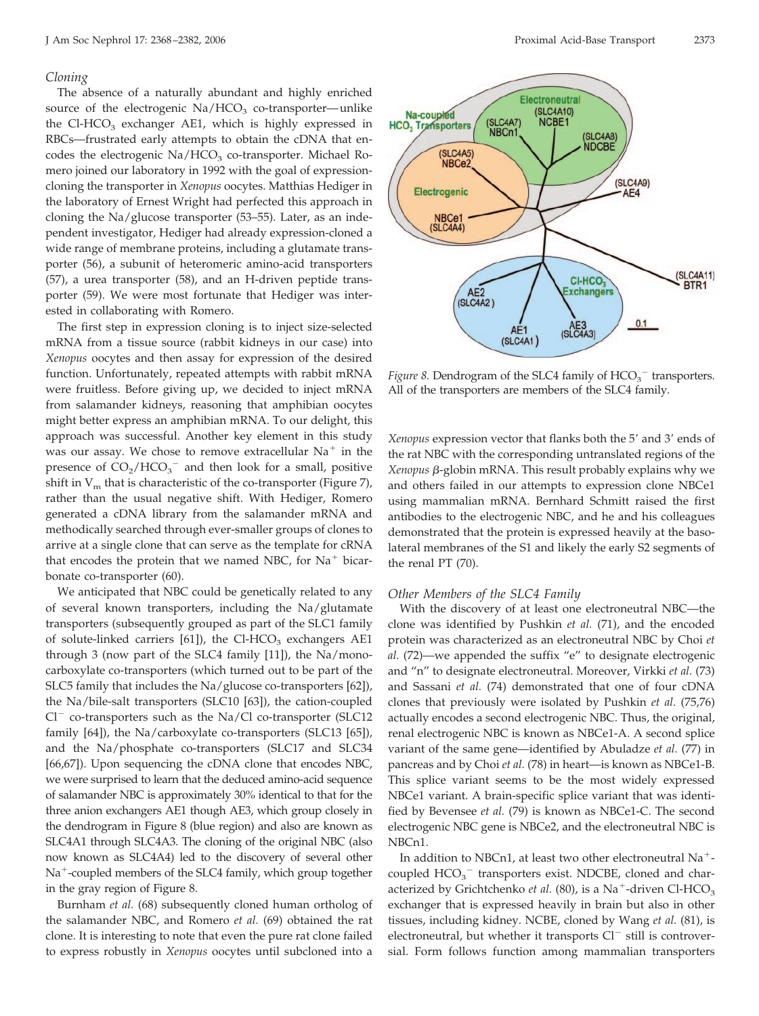#### *Cloning*

The absence of a naturally abundant and highly enriched source of the electrogenic  $Na/HCO<sub>3</sub>$  co-transporter—unlike the Cl-HCO<sub>3</sub> exchanger AE1, which is highly expressed in RBCs—frustrated early attempts to obtain the cDNA that encodes the electrogenic  $Na/HCO<sub>3</sub>$  co-transporter. Michael Romero joined our laboratory in 1992 with the goal of expressioncloning the transporter in *Xenopus* oocytes. Matthias Hediger in the laboratory of Ernest Wright had perfected this approach in cloning the Na/glucose transporter (53–55). Later, as an independent investigator, Hediger had already expression-cloned a wide range of membrane proteins, including a glutamate transporter (56), a subunit of heteromeric amino-acid transporters (57), a urea transporter (58), and an H-driven peptide transporter (59). We were most fortunate that Hediger was interested in collaborating with Romero.

The first step in expression cloning is to inject size-selected mRNA from a tissue source (rabbit kidneys in our case) into *Xenopus* oocytes and then assay for expression of the desired function. Unfortunately, repeated attempts with rabbit mRNA were fruitless. Before giving up, we decided to inject mRNA from salamander kidneys, reasoning that amphibian oocytes might better express an amphibian mRNA. To our delight, this approach was successful. Another key element in this study was our assay. We chose to remove extracellular  $Na^+$  in the presence of  $CO_2/HCO_3^-$  and then look for a small, positive shift in  $V_m$  that is characteristic of the co-transporter (Figure 7), rather than the usual negative shift. With Hediger, Romero generated a cDNA library from the salamander mRNA and methodically searched through ever-smaller groups of clones to arrive at a single clone that can serve as the template for cRNA that encodes the protein that we named NBC, for  $Na<sup>+</sup> bicar$ bonate co-transporter (60).

We anticipated that NBC could be genetically related to any of several known transporters, including the Na/glutamate transporters (subsequently grouped as part of the SLC1 family of solute-linked carriers  $[61]$ , the Cl-HCO<sub>3</sub> exchangers AE1 through 3 (now part of the SLC4 family [11]), the Na/monocarboxylate co-transporters (which turned out to be part of the SLC5 family that includes the Na/glucose co-transporters [62]), the Na/bile-salt transporters (SLC10 [63]), the cation-coupled  $Cl^-$  co-transporters such as the Na/Cl co-transporter (SLC12) family [64]), the Na/carboxylate co-transporters (SLC13 [65]), and the Na/phosphate co-transporters (SLC17 and SLC34 [66,67]). Upon sequencing the cDNA clone that encodes NBC, we were surprised to learn that the deduced amino-acid sequence of salamander NBC is approximately 30% identical to that for the three anion exchangers AE1 though AE3, which group closely in the dendrogram in Figure 8 (blue region) and also are known as SLC4A1 through SLC4A3. The cloning of the original NBC (also now known as SLC4A4) led to the discovery of several other Na<sup>+</sup>-coupled members of the SLC4 family, which group together in the gray region of Figure 8.

Burnham *et al.* (68) subsequently cloned human ortholog of the salamander NBC, and Romero *et al.* (69) obtained the rat clone. It is interesting to note that even the pure rat clone failed to express robustly in *Xenopus* oocytes until subcloned into a



*Figure 8.* Dendrogram of the SLC4 family of  $HCO_3^-$  transporters. All of the transporters are members of the SLC4 family.

*Xenopus* expression vector that flanks both the 5' and 3' ends of the rat NBC with the corresponding untranslated regions of the *Xenopus* β-globin mRNA. This result probably explains why we and others failed in our attempts to expression clone NBCe1 using mammalian mRNA. Bernhard Schmitt raised the first antibodies to the electrogenic NBC, and he and his colleagues demonstrated that the protein is expressed heavily at the basolateral membranes of the S1 and likely the early S2 segments of the renal PT (70).

#### *Other Members of the SLC4 Family*

With the discovery of at least one electroneutral NBC—the clone was identified by Pushkin *et al.* (71), and the encoded protein was characterized as an electroneutral NBC by Choi *et al.* (72)—we appended the suffix "e" to designate electrogenic and "n" to designate electroneutral. Moreover, Virkki *et al.* (73) and Sassani *et al.* (74) demonstrated that one of four cDNA clones that previously were isolated by Pushkin *et al.* (75,76) actually encodes a second electrogenic NBC. Thus, the original, renal electrogenic NBC is known as NBCe1-A. A second splice variant of the same gene—identified by Abuladze *et al.* (77) in pancreas and by Choi *et al.* (78) in heart—is known as NBCe1-B. This splice variant seems to be the most widely expressed NBCe1 variant. A brain-specific splice variant that was identified by Bevensee *et al.* (79) is known as NBCe1-C. The second electrogenic NBC gene is NBCe2, and the electroneutral NBC is NBCn1.

In addition to NBCn1, at least two other electroneutral Na<sup>+</sup>coupled  $HCO_3^-$  transporters exist. NDCBE, cloned and characterized by Grichtchenko *et al.* (80), is a Na<sup>+</sup>-driven Cl-HCO<sub>3</sub> exchanger that is expressed heavily in brain but also in other tissues, including kidney. NCBE, cloned by Wang *et al.* (81), is electroneutral, but whether it transports  $Cl^-$  still is controversial. Form follows function among mammalian transporters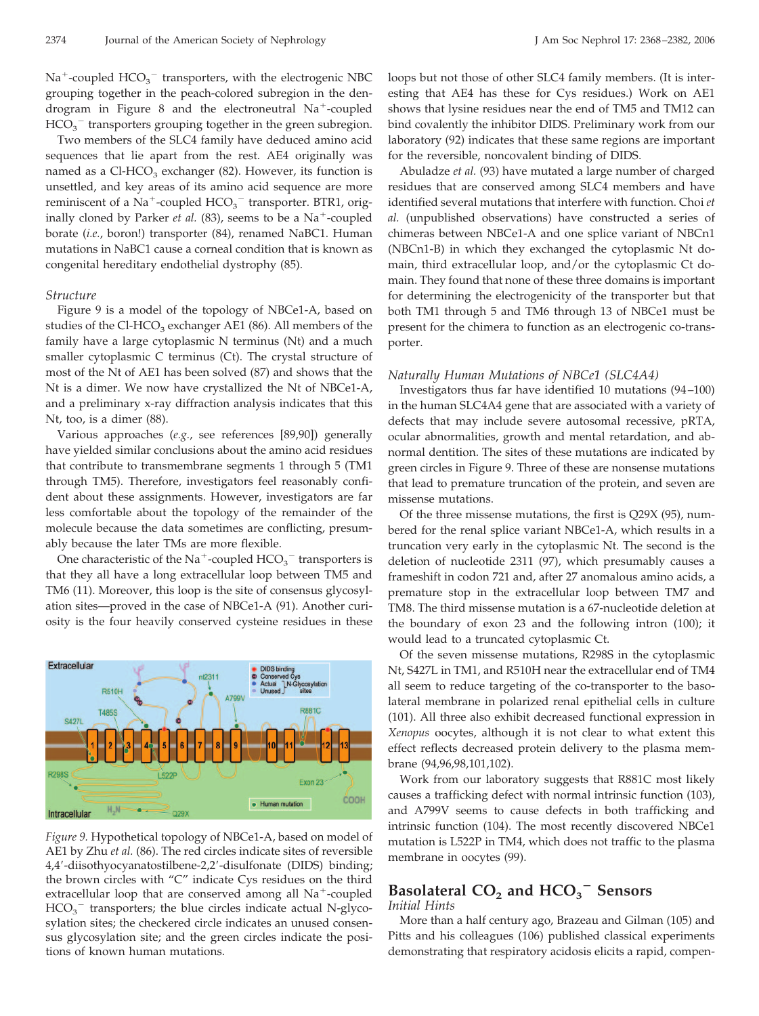$\text{Na}^+$ -coupled  $\text{HCO}_3^-$  transporters, with the electrogenic NBC grouping together in the peach-colored subregion in the dendrogram in Figure 8 and the electroneutral Na<sup>+</sup>-coupled  $HCO_3^-$  transporters grouping together in the green subregion.

Two members of the SLC4 family have deduced amino acid sequences that lie apart from the rest. AE4 originally was named as a Cl-HCO<sub>3</sub> exchanger  $(82)$ . However, its function is unsettled, and key areas of its amino acid sequence are more reminiscent of a Na<sup>+</sup>-coupled  $HCO_3^-$  transporter. BTR1, originally cloned by Parker *et al.* (83), seems to be a Na<sup>+</sup>-coupled borate (*i.e.*, boron!) transporter (84), renamed NaBC1. Human mutations in NaBC1 cause a corneal condition that is known as congenital hereditary endothelial dystrophy (85).

## *Structure*

Figure 9 is a model of the topology of NBCe1-A, based on studies of the Cl-HCO<sub>3</sub> exchanger AE1 (86). All members of the family have a large cytoplasmic N terminus (Nt) and a much smaller cytoplasmic C terminus (Ct). The crystal structure of most of the Nt of AE1 has been solved (87) and shows that the Nt is a dimer. We now have crystallized the Nt of NBCe1-A, and a preliminary x-ray diffraction analysis indicates that this Nt, too, is a dimer (88).

Various approaches (*e.g.*, see references [89,90]) generally have yielded similar conclusions about the amino acid residues that contribute to transmembrane segments 1 through 5 (TM1 through TM5). Therefore, investigators feel reasonably confident about these assignments. However, investigators are far less comfortable about the topology of the remainder of the molecule because the data sometimes are conflicting, presumably because the later TMs are more flexible.

One characteristic of the Na<sup>+</sup>-coupled  $\mathrm{HCO_3}^-$  transporters is that they all have a long extracellular loop between TM5 and TM6 (11). Moreover, this loop is the site of consensus glycosylation sites—proved in the case of NBCe1-A (91). Another curiosity is the four heavily conserved cysteine residues in these



*Figure 9.* Hypothetical topology of NBCe1-A, based on model of AE1 by Zhu *et al.* (86). The red circles indicate sites of reversible 4,4-diisothyocyanatostilbene-2,2-disulfonate (DIDS) binding; the brown circles with "C" indicate Cys residues on the third extracellular loop that are conserved among all Na<sup>+</sup>-coupled  $HCO<sub>3</sub>$ <sup>-</sup> transporters; the blue circles indicate actual N-glycosylation sites; the checkered circle indicates an unused consensus glycosylation site; and the green circles indicate the positions of known human mutations.

loops but not those of other SLC4 family members. (It is interesting that AE4 has these for Cys residues.) Work on AE1 shows that lysine residues near the end of TM5 and TM12 can bind covalently the inhibitor DIDS. Preliminary work from our laboratory (92) indicates that these same regions are important for the reversible, noncovalent binding of DIDS.

Abuladze *et al.* (93) have mutated a large number of charged residues that are conserved among SLC4 members and have identified several mutations that interfere with function. Choi *et al.* (unpublished observations) have constructed a series of chimeras between NBCe1-A and one splice variant of NBCn1 (NBCn1-B) in which they exchanged the cytoplasmic Nt domain, third extracellular loop, and/or the cytoplasmic Ct domain. They found that none of these three domains is important for determining the electrogenicity of the transporter but that both TM1 through 5 and TM6 through 13 of NBCe1 must be present for the chimera to function as an electrogenic co-transporter.

### *Naturally Human Mutations of NBCe1 (SLC4A4)*

Investigators thus far have identified 10 mutations (94 –100) in the human SLC4A4 gene that are associated with a variety of defects that may include severe autosomal recessive, pRTA, ocular abnormalities, growth and mental retardation, and abnormal dentition. The sites of these mutations are indicated by green circles in Figure 9. Three of these are nonsense mutations that lead to premature truncation of the protein, and seven are missense mutations.

Of the three missense mutations, the first is Q29X (95), numbered for the renal splice variant NBCe1-A, which results in a truncation very early in the cytoplasmic Nt. The second is the deletion of nucleotide 2311 (97), which presumably causes a frameshift in codon 721 and, after 27 anomalous amino acids, a premature stop in the extracellular loop between TM7 and TM8. The third missense mutation is a 67-nucleotide deletion at the boundary of exon 23 and the following intron (100); it would lead to a truncated cytoplasmic Ct.

Of the seven missense mutations, R298S in the cytoplasmic Nt, S427L in TM1, and R510H near the extracellular end of TM4 all seem to reduce targeting of the co-transporter to the basolateral membrane in polarized renal epithelial cells in culture (101). All three also exhibit decreased functional expression in *Xenopus* oocytes, although it is not clear to what extent this effect reflects decreased protein delivery to the plasma membrane (94,96,98,101,102).

Work from our laboratory suggests that R881C most likely causes a trafficking defect with normal intrinsic function (103), and A799V seems to cause defects in both trafficking and intrinsic function (104). The most recently discovered NBCe1 mutation is L522P in TM4, which does not traffic to the plasma membrane in oocytes (99).

# **Basolateral CO<sub>2</sub> and HCO<sub>3</sub><sup>-</sup> Sensors**

# *Initial Hints*

More than a half century ago, Brazeau and Gilman (105) and Pitts and his colleagues (106) published classical experiments demonstrating that respiratory acidosis elicits a rapid, compen-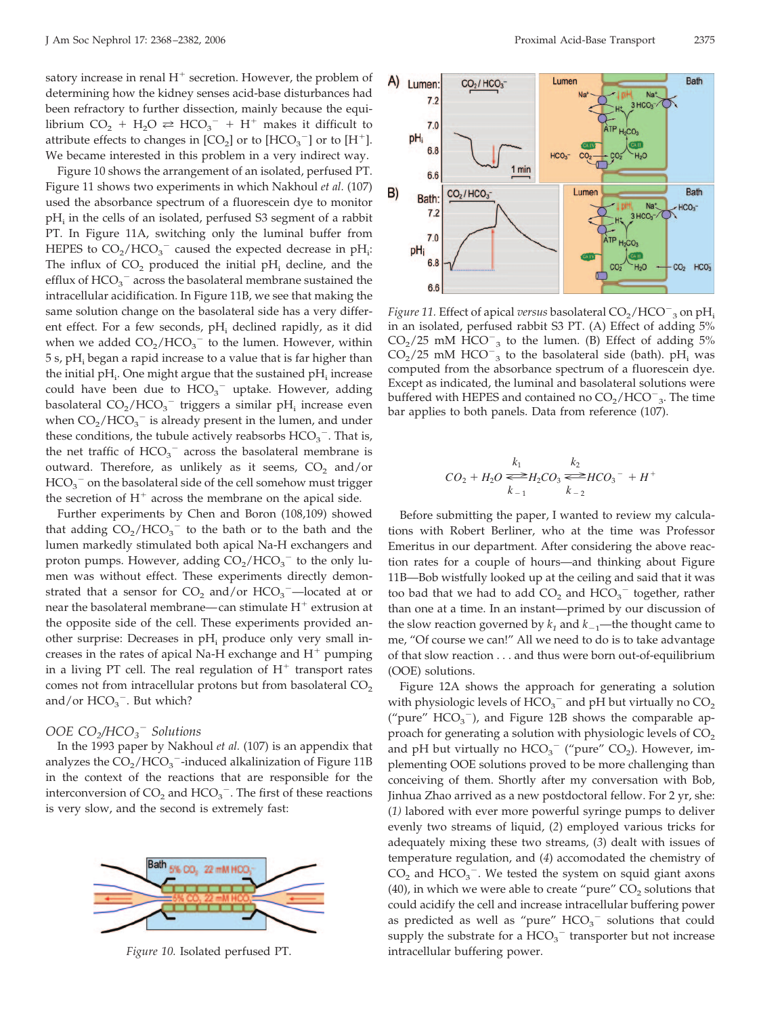satory increase in renal  $H^+$  secretion. However, the problem of determining how the kidney senses acid-base disturbances had been refractory to further dissection, mainly because the equilibrium  $CO_2 + H_2O \rightleftharpoons HCO_3^- + H^+$  makes it difficult to attribute effects to changes in  $[CO<sub>2</sub>]$  or to  $[HCO<sub>3</sub><sup>-</sup>]$  or to  $[H<sup>+</sup>]$ . We became interested in this problem in a very indirect way.

Figure 10 shows the arrangement of an isolated, perfused PT. Figure 11 shows two experiments in which Nakhoul *et al.* (107) used the absorbance spectrum of a fluorescein dye to monitor pH<sub>i</sub> in the cells of an isolated, perfused S3 segment of a rabbit PT. In Figure 11A, switching only the luminal buffer from HEPES to  $CO_2/HCO_3^-$  caused the expected decrease in pH<sub>i</sub>: The influx of  $CO<sub>2</sub>$  produced the initial pH<sub>i</sub> decline, and the efflux of  $\mathrm{HCO_3}^-$  across the basolateral membrane sustained the intracellular acidification. In Figure 11B, we see that making the same solution change on the basolateral side has a very different effect. For a few seconds,  $pH_i$  declined rapidly, as it did when we added  $CO_2/HCO_3^-$  to the lumen. However, within  $5 s$ , pH<sub>i</sub> began a rapid increase to a value that is far higher than the initial pH<sub>i</sub>. One might argue that the sustained pH<sub>i</sub> increase could have been due to  $HCO_3^-$  uptake. However, adding basolateral  $CO_2/HCO_3^-$  triggers a similar pH<sub>i</sub> increase even when  $CO_2/HCO_3^-$  is already present in the lumen, and under these conditions, the tubule actively reabsorbs  $\text{HCO}_3^-$ . That is, the net traffic of  $HCO_3^-$  across the basolateral membrane is outward. Therefore, as unlikely as it seems,  $CO<sub>2</sub>$  and/or  $HCO_3^-$  on the basolateral side of the cell somehow must trigger the secretion of  $H^+$  across the membrane on the apical side.

Further experiments by Chen and Boron (108,109) showed that adding  $CO_2/HCO_3^-$  to the bath or to the bath and the lumen markedly stimulated both apical Na-H exchangers and proton pumps. However, adding  $CO_2/HCO_3^-$  to the only lumen was without effect. These experiments directly demonstrated that a sensor for  $CO_2$  and/or  $HCO_3$ <sup>-</sup>-located at or near the basolateral membrane—can stimulate  $\mathrm{H}^+$  extrusion at the opposite side of the cell. These experiments provided another surprise: Decreases in  $pH_i$  produce only very small increases in the rates of apical Na-H exchange and  $H^+$  pumping in a living PT cell. The real regulation of  $H^+$  transport rates comes not from intracellular protons but from basolateral  $CO<sub>2</sub>$ and/or  $HCO_3^-$ . But which?

# *OOE CO2/HCO3 Solutions*

In the 1993 paper by Nakhoul *et al.* (107) is an appendix that analyzes the  $\rm CO_2/ HCO_3$ <sup>-</sup>-induced alkalinization of Figure 11B in the context of the reactions that are responsible for the interconversion of  $CO_2$  and  $HCO_3$ <sup>-</sup>. The first of these reactions is very slow, and the second is extremely fast:





*Figure 11.* Effect of apical *versus* basolateral  $\text{CO}_2/\text{HCO}^-$ <sub>3</sub> on pH<sub>i</sub> in an isolated, perfused rabbit S3 PT. (A) Effect of adding 5%  $CO<sub>2</sub>/25$  mM  $\text{HCO}^{-}$ <sub>3</sub> to the lumen. (B) Effect of adding 5%  $CO_2/25$  mM HCO<sup>-</sup><sub>3</sub> to the basolateral side (bath). pH<sub>i</sub> was computed from the absorbance spectrum of a fluorescein dye. Except as indicated, the luminal and basolateral solutions were buffered with HEPES and contained no  $CO_2/HCO^-$ <sub>3</sub>. The time bar applies to both panels. Data from reference (107).

$$
CO_2 + H_2O \stackrel{k_1}{\Longleftrightarrow} H_2CO_3 \stackrel{k_2}{\Longleftrightarrow} HCO_3^- + H^+
$$

Before submitting the paper, I wanted to review my calculations with Robert Berliner, who at the time was Professor Emeritus in our department. After considering the above reaction rates for a couple of hours—and thinking about Figure 11B—Bob wistfully looked up at the ceiling and said that it was too bad that we had to add  $CO_2$  and  $HCO_3^-$  together, rather than one at a time. In an instant—primed by our discussion of the slow reaction governed by  $k_1$  and  $k_{-1}$ —the thought came to me, "Of course we can!" All we need to do is to take advantage of that slow reaction . . . and thus were born out-of-equilibrium (OOE) solutions.

Figure 12A shows the approach for generating a solution with physiologic levels of  $HCO_3^-$  and pH but virtually no  $CO_2$ ("pure"  $HCO_3^-$ ), and Figure 12B shows the comparable approach for generating a solution with physiologic levels of  $CO<sub>2</sub>$ and pH but virtually no  $HCO_3^-$  ("pure"  $CO_2$ ). However, implementing OOE solutions proved to be more challenging than conceiving of them. Shortly after my conversation with Bob, Jinhua Zhao arrived as a new postdoctoral fellow. For 2 yr, she: (*1)* labored with ever more powerful syringe pumps to deliver evenly two streams of liquid, (*2*) employed various tricks for adequately mixing these two streams, (*3*) dealt with issues of temperature regulation, and (*4*) accomodated the chemistry of  $CO<sub>2</sub>$  and  $HCO<sub>3</sub><sup>-</sup>$ . We tested the system on squid giant axons (40), in which we were able to create "pure"  $CO<sub>2</sub>$  solutions that could acidify the cell and increase intracellular buffering power as predicted as well as "pure"  $HCO_3^-$  solutions that could supply the substrate for a  $HCO_3^-$  transporter but not increase *Figure 10.* Isolated perfused PT. **intracellular buffering power.**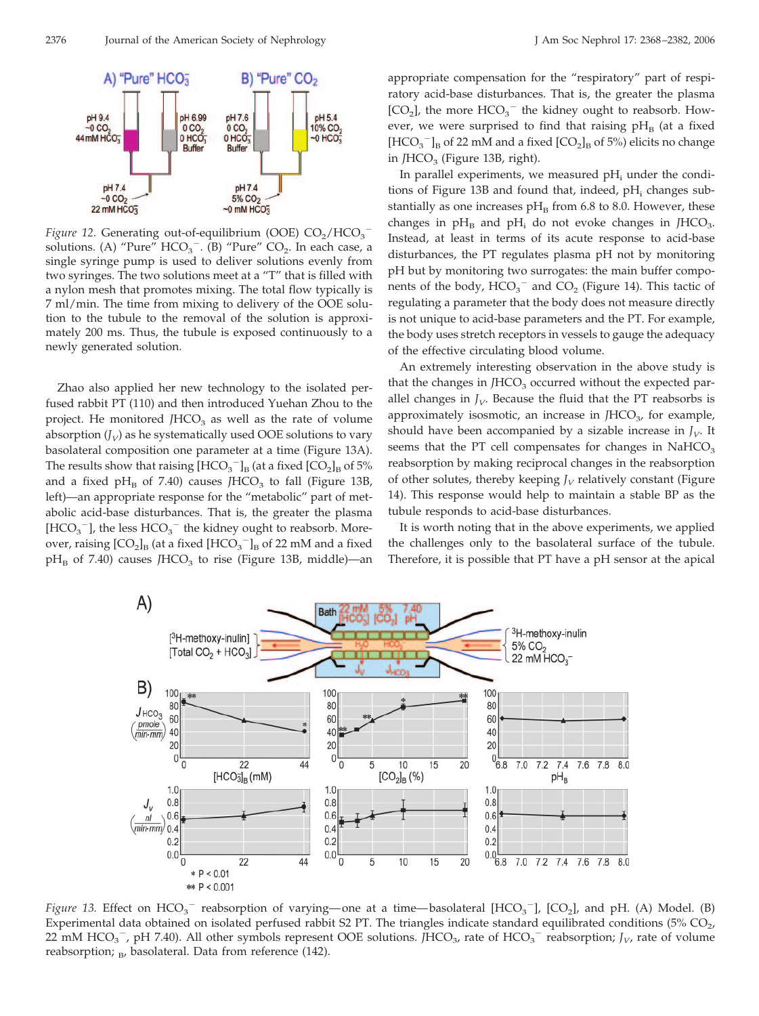

*Figure 12.* Generating out-of-equilibrium (OOE)  $CO_2/HCO_3^$ solutions. (A) "Pure"  $HCO_3^-$ . (B) "Pure"  $CO_2$ . In each case, a single syringe pump is used to deliver solutions evenly from two syringes. The two solutions meet at a "T" that is filled with a nylon mesh that promotes mixing. The total flow typically is 7 ml/min. The time from mixing to delivery of the OOE solution to the tubule to the removal of the solution is approximately 200 ms. Thus, the tubule is exposed continuously to a newly generated solution.

Zhao also applied her new technology to the isolated perfused rabbit PT (110) and then introduced Yuehan Zhou to the project. He monitored  $/HCO<sub>3</sub>$  as well as the rate of volume absorption  $(J_V)$  as he systematically used OOE solutions to vary basolateral composition one parameter at a time (Figure 13A). The results show that raising  $[\text{HCO}_3^-]_B$  (at a fixed  $[\text{CO}_2]_B$  of 5% and a fixed pH<sub>B</sub> of 7.40) causes *JHCO*<sub>3</sub> to fall (Figure 13B, left)—an appropriate response for the "metabolic" part of metabolic acid-base disturbances. That is, the greater the plasma  $[\mathrm{HCO_3}^-]$ , the less $\mathrm{HCO_3}^-$  the kidney ought to reabsorb. Moreover, raising  $\text{[CO}_2\text{]}_B$  (at a fixed  $\text{[HCO}_3^{-}\text{]}_B$  of 22 mM and a fixed pH<sub>B</sub> of 7.40) causes *JHCO*<sub>3</sub> to rise (Figure 13B, middle)—an

appropriate compensation for the "respiratory" part of respiratory acid-base disturbances. That is, the greater the plasma [CO<sub>2</sub>], the more  $HCO_3^-$  the kidney ought to reabsorb. However, we were surprised to find that raising  $pH_B$  (at a fixed  $[\mathrm{HCO_3}^-]_\mathrm{B}$  of 22 mM and a fixed  $[\mathrm{CO_2}]_\mathrm{B}$  of 5%) elicits no change in  $JHCO<sub>3</sub>$  (Figure 13B, right).

In parallel experiments, we measured  $pH_i$  under the conditions of Figure 13B and found that, indeed,  $pH_i$  changes substantially as one increases  $pH<sub>B</sub>$  from 6.8 to 8.0. However, these changes in  $pH_B$  and  $pH_i$  do not evoke changes in *JHCO*<sub>3</sub>. Instead, at least in terms of its acute response to acid-base disturbances, the PT regulates plasma pH not by monitoring pH but by monitoring two surrogates: the main buffer components of the body,  $HCO_3^-$  and  $CO_2$  (Figure 14). This tactic of regulating a parameter that the body does not measure directly is not unique to acid-base parameters and the PT. For example, the body uses stretch receptors in vessels to gauge the adequacy of the effective circulating blood volume.

An extremely interesting observation in the above study is that the changes in *JHCO<sub>3</sub>* occurred without the expected parallel changes in  $J_V$ . Because the fluid that the PT reabsorbs is approximately isosmotic, an increase in *JHCO<sub>3</sub>*, for example, should have been accompanied by a sizable increase in  $J_V$ . It seems that the PT cell compensates for changes in  $NAHCO<sub>3</sub>$ reabsorption by making reciprocal changes in the reabsorption of other solutes, thereby keeping  $J_V$  relatively constant (Figure 14). This response would help to maintain a stable BP as the tubule responds to acid-base disturbances.

It is worth noting that in the above experiments, we applied the challenges only to the basolateral surface of the tubule. Therefore, it is possible that PT have a pH sensor at the apical



*Figure* 13. Effect on  $HCO_3^-$  reabsorption of varying—one at a time—basolateral [ $HCO_3^-$ ], [ $CO_2$ ], and pH. (A) Model. (B) Experimental data obtained on isolated perfused rabbit S2 PT. The triangles indicate standard equilibrated conditions  $(5\%$  CO<sub>2</sub>, 22 mM  $HCO_3^-$ , pH 7.40). All other symbols represent OOE solutions.  $\text{JHCO}_3$ , rate of  $HCO_3^-$  reabsorption;  $J_V$ , rate of volume reabsorption;  $_B$ , basolateral. Data from reference (142).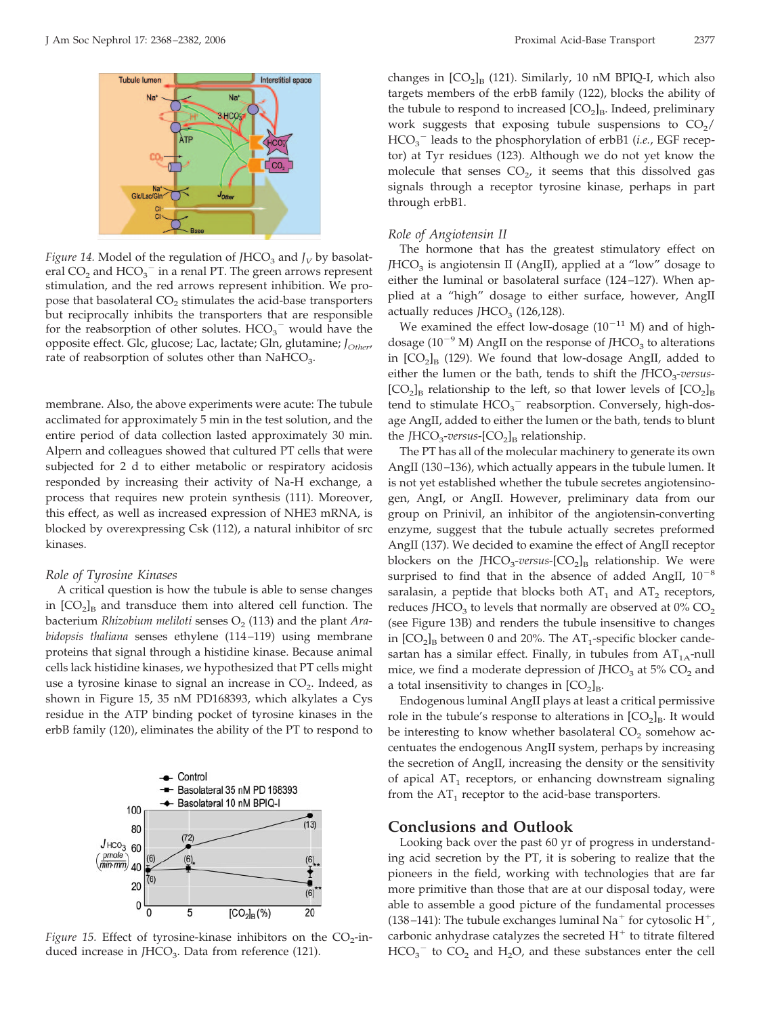

*Figure 14.* Model of the regulation of  $JHCO<sub>3</sub>$  and  $J_V$  by basolateral  $CO_2$  and  $HCO_3^-$  in a renal PT. The green arrows represent stimulation, and the red arrows represent inhibition. We propose that basolateral  $CO<sub>2</sub>$  stimulates the acid-base transporters but reciprocally inhibits the transporters that are responsible for the reabsorption of other solutes.  $HCO_3^-$  would have the opposite effect. Glc, glucose; Lac, lactate; Gln, glutamine; *JOther*, rate of reabsorption of solutes other than  $NAHCO<sub>3</sub>$ .

membrane. Also, the above experiments were acute: The tubule acclimated for approximately 5 min in the test solution, and the entire period of data collection lasted approximately 30 min. Alpern and colleagues showed that cultured PT cells that were subjected for 2 d to either metabolic or respiratory acidosis responded by increasing their activity of Na-H exchange, a process that requires new protein synthesis (111). Moreover, this effect, as well as increased expression of NHE3 mRNA, is blocked by overexpressing Csk (112), a natural inhibitor of src kinases.

#### *Role of Tyrosine Kinases*

A critical question is how the tubule is able to sense changes in  $[CO<sub>2</sub>]<sub>B</sub>$  and transduce them into altered cell function. The bacterium *Rhizobium meliloti* senses  $O_2$  (113) and the plant *Arabidopsis thaliana* senses ethylene (114 –119) using membrane proteins that signal through a histidine kinase. Because animal cells lack histidine kinases, we hypothesized that PT cells might use a tyrosine kinase to signal an increase in  $CO<sub>2</sub>$ . Indeed, as shown in Figure 15, 35 nM PD168393, which alkylates a Cys residue in the ATP binding pocket of tyrosine kinases in the erbB family (120), eliminates the ability of the PT to respond to



changes in  $[CO_2]_B$  (121). Similarly, 10 nM BPIQ-I, which also targets members of the erbB family (122), blocks the ability of the tubule to respond to increased  $[CO<sub>2</sub>]<sub>B</sub>$ . Indeed, preliminary work suggests that exposing tubule suspensions to  $CO<sub>2</sub>/$ HCO<sub>3</sub><sup>-</sup> leads to the phosphorylation of erbB1 (*i.e.*, EGF receptor) at Tyr residues (123). Although we do not yet know the molecule that senses  $CO<sub>2</sub>$ , it seems that this dissolved gas signals through a receptor tyrosine kinase, perhaps in part through erbB1.

#### *Role of Angiotensin II*

The hormone that has the greatest stimulatory effect on *JHCO*<sub>3</sub> is angiotensin II (AngII), applied at a "low" dosage to either the luminal or basolateral surface (124 –127). When applied at a "high" dosage to either surface, however, AngII actually reduces *JHCO*<sub>3</sub> (126,128).

We examined the effect low-dosage  $(10^{-11}$  M) and of highdosage (10<sup>-9</sup> M) AngII on the response of *J*HCO<sub>3</sub> to alterations in  $[CO_2]_B$  (129). We found that low-dosage AngII, added to either the lumen or the bath, tends to shift the *JHCO<sub>3</sub>-versus*- $[CO<sub>2</sub>]<sub>B</sub>$  relationship to the left, so that lower levels of  $[CO<sub>2</sub>]<sub>B</sub>$ tend to stimulate  $HCO_3^-$  reabsorption. Conversely, high-dosage AngII, added to either the lumen or the bath, tends to blunt the *JHCO<sub>3</sub>-versus*- $[CO<sub>2</sub>]$ <sub>B</sub> relationship.

The PT has all of the molecular machinery to generate its own AngII (130-136), which actually appears in the tubule lumen. It is not yet established whether the tubule secretes angiotensinogen, AngI, or AngII. However, preliminary data from our group on Prinivil, an inhibitor of the angiotensin-converting enzyme, suggest that the tubule actually secretes preformed AngII (137). We decided to examine the effect of AngII receptor blockers on the *JHCO<sub>3</sub>-versus*- $[CO<sub>2</sub>]$ <sub>B</sub> relationship. We were surprised to find that in the absence of added AngII,  $10^{-8}$ saralasin, a peptide that blocks both  $AT_1$  and  $AT_2$  receptors, reduces *JHCO*<sub>3</sub> to levels that normally are observed at  $0\%$  CO<sub>2</sub> (see Figure 13B) and renders the tubule insensitive to changes in  $[CO_2]_B$  between 0 and 20%. The AT<sub>1</sub>-specific blocker candesartan has a similar effect. Finally, in tubules from  $AT<sub>1A</sub>$ -null mice, we find a moderate depression of *JHCO*<sub>3</sub> at 5% CO<sub>2</sub> and a total insensitivity to changes in  $[CO_2]_B$ .

Endogenous luminal AngII plays at least a critical permissive role in the tubule's response to alterations in  $[CO<sub>2</sub>]<sub>B</sub>$ . It would be interesting to know whether basolateral  $CO<sub>2</sub>$  somehow accentuates the endogenous AngII system, perhaps by increasing the secretion of AngII, increasing the density or the sensitivity of apical  $AT_1$  receptors, or enhancing downstream signaling from the  $AT_1$  receptor to the acid-base transporters.

## **Conclusions and Outlook**

Looking back over the past 60 yr of progress in understanding acid secretion by the PT, it is sobering to realize that the pioneers in the field, working with technologies that are far more primitive than those that are at our disposal today, were able to assemble a good picture of the fundamental processes (138-141): The tubule exchanges luminal  $\mathrm{Na}^+$  for cytosolic  $\mathrm{H}^+$ , carbonic anhydrase catalyzes the secreted  $H^+$  to titrate filtered  $HCO_3^-$  to  $CO_2$  and  $H_2O$ , and these substances enter the cell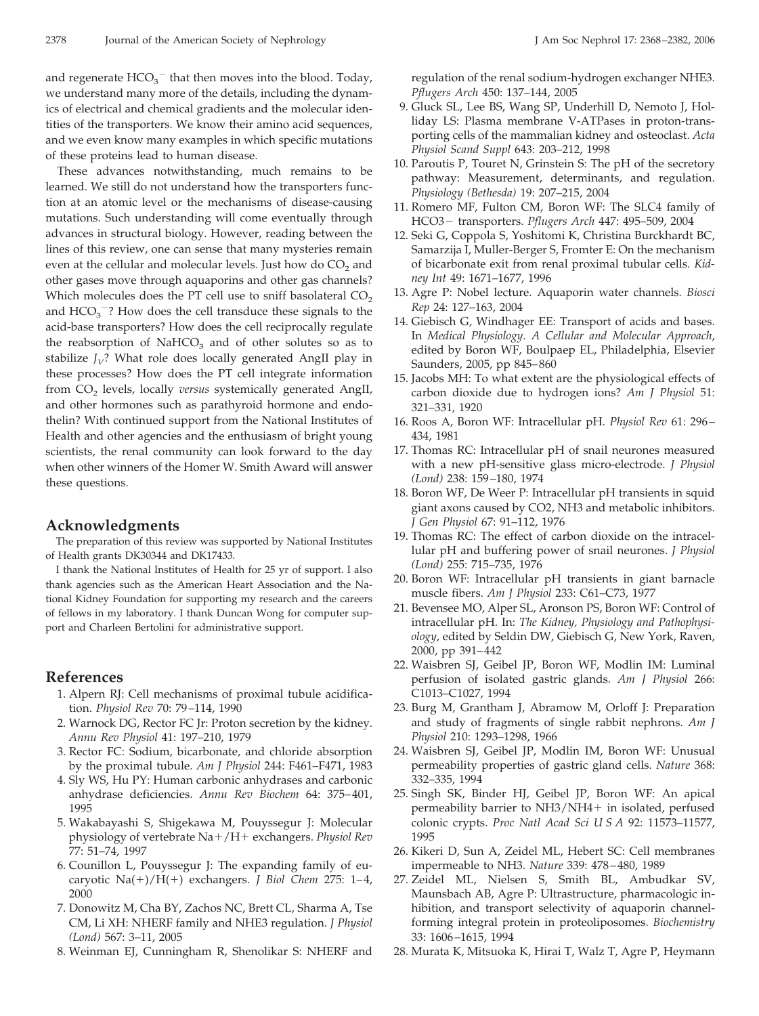and regenerate  $HCO_3^-$  that then moves into the blood. Today, we understand many more of the details, including the dynamics of electrical and chemical gradients and the molecular identities of the transporters. We know their amino acid sequences, and we even know many examples in which specific mutations of these proteins lead to human disease.

These advances notwithstanding, much remains to be learned. We still do not understand how the transporters function at an atomic level or the mechanisms of disease-causing mutations. Such understanding will come eventually through advances in structural biology. However, reading between the lines of this review, one can sense that many mysteries remain even at the cellular and molecular levels. Just how do  $CO<sub>2</sub>$  and other gases move through aquaporins and other gas channels? Which molecules does the PT cell use to sniff basolateral  $CO<sub>2</sub>$ and  $HCO<sub>3</sub><sup>-</sup>$ ? How does the cell transduce these signals to the acid-base transporters? How does the cell reciprocally regulate the reabsorption of  $NAHCO<sub>3</sub>$  and of other solutes so as to stabilize  $J_V$ ? What role does locally generated AngII play in these processes? How does the PT cell integrate information from CO<sub>2</sub> levels, locally *versus* systemically generated AngII, and other hormones such as parathyroid hormone and endothelin? With continued support from the National Institutes of Health and other agencies and the enthusiasm of bright young scientists, the renal community can look forward to the day when other winners of the Homer W. Smith Award will answer these questions.

### **Acknowledgments**

The preparation of this review was supported by National Institutes of Health grants DK30344 and DK17433.

I thank the National Institutes of Health for 25 yr of support. I also thank agencies such as the American Heart Association and the National Kidney Foundation for supporting my research and the careers of fellows in my laboratory. I thank Duncan Wong for computer support and Charleen Bertolini for administrative support.

# **References**

- 1. Alpern RJ: Cell mechanisms of proximal tubule acidification. *Physiol Rev* 70: 79 –114, 1990
- 2. Warnock DG, Rector FC Jr: Proton secretion by the kidney. *Annu Rev Physiol* 41: 197–210, 1979
- 3. Rector FC: Sodium, bicarbonate, and chloride absorption by the proximal tubule. *Am J Physiol* 244: F461–F471, 1983
- 4. Sly WS, Hu PY: Human carbonic anhydrases and carbonic anhydrase deficiencies. *Annu Rev Biochem* 64: 375– 401, 1995
- 5. Wakabayashi S, Shigekawa M, Pouyssegur J: Molecular physiology of vertebrate Na-/H- exchangers. *Physiol Rev* 77: 51–74, 1997
- 6. Counillon L, Pouyssegur J: The expanding family of eucaryotic Na(+)/H(+) exchangers. *J Biol Chem* 275: 1-4, 2000
- 7. Donowitz M, Cha BY, Zachos NC, Brett CL, Sharma A, Tse CM, Li XH: NHERF family and NHE3 regulation. *J Physiol (Lond)* 567: 3–11, 2005
- 8. Weinman EJ, Cunningham R, Shenolikar S: NHERF and

regulation of the renal sodium-hydrogen exchanger NHE3. *Pflugers Arch* 450: 137–144, 2005

- 9. Gluck SL, Lee BS, Wang SP, Underhill D, Nemoto J, Holliday LS: Plasma membrane V-ATPases in proton-transporting cells of the mammalian kidney and osteoclast. *Acta Physiol Scand Suppl* 643: 203–212, 1998
- 10. Paroutis P, Touret N, Grinstein S: The pH of the secretory pathway: Measurement, determinants, and regulation. *Physiology (Bethesda)* 19: 207–215, 2004
- 11. Romero MF, Fulton CM, Boron WF: The SLC4 family of HCO3 transporters. *Pflugers Arch* 447: 495–509, 2004
- 12. Seki G, Coppola S, Yoshitomi K, Christina Burckhardt BC, Samarzija I, Muller-Berger S, Fromter E: On the mechanism of bicarbonate exit from renal proximal tubular cells. *Kidney Int* 49: 1671–1677, 1996
- 13. Agre P: Nobel lecture. Aquaporin water channels. *Biosci Rep* 24: 127–163, 2004
- 14. Giebisch G, Windhager EE: Transport of acids and bases. In *Medical Physiology. A Cellular and Molecular Approach*, edited by Boron WF, Boulpaep EL, Philadelphia, Elsevier Saunders, 2005, pp 845– 860
- 15. Jacobs MH: To what extent are the physiological effects of carbon dioxide due to hydrogen ions? *Am J Physiol* 51: 321–331, 1920
- 16. Roos A, Boron WF: Intracellular pH. *Physiol Rev* 61: 296 434, 1981
- 17. Thomas RC: Intracellular pH of snail neurones measured with a new pH-sensitive glass micro-electrode. *J Physiol (Lond)* 238: 159 –180, 1974
- 18. Boron WF, De Weer P: Intracellular pH transients in squid giant axons caused by CO2, NH3 and metabolic inhibitors. *J Gen Physiol* 67: 91–112, 1976
- 19. Thomas RC: The effect of carbon dioxide on the intracellular pH and buffering power of snail neurones. *J Physiol (Lond)* 255: 715–735, 1976
- 20. Boron WF: Intracellular pH transients in giant barnacle muscle fibers. *Am J Physiol* 233: C61–C73, 1977
- 21. Bevensee MO, Alper SL, Aronson PS, Boron WF: Control of intracellular pH. In: *The Kidney, Physiology and Pathophysiology*, edited by Seldin DW, Giebisch G, New York, Raven, 2000, pp 391– 442
- 22. Waisbren SJ, Geibel JP, Boron WF, Modlin IM: Luminal perfusion of isolated gastric glands. *Am J Physiol* 266: C1013–C1027, 1994
- 23. Burg M, Grantham J, Abramow M, Orloff J: Preparation and study of fragments of single rabbit nephrons. *Am J Physiol* 210: 1293–1298, 1966
- 24. Waisbren SJ, Geibel JP, Modlin IM, Boron WF: Unusual permeability properties of gastric gland cells. *Nature* 368: 332–335, 1994
- 25. Singh SK, Binder HJ, Geibel JP, Boron WF: An apical permeability barrier to NH3/NH4- in isolated, perfused colonic crypts. *Proc Natl Acad Sci U S A* 92: 11573–11577, 1995
- 26. Kikeri D, Sun A, Zeidel ML, Hebert SC: Cell membranes impermeable to NH3. *Nature* 339: 478 – 480, 1989
- 27. Zeidel ML, Nielsen S, Smith BL, Ambudkar SV, Maunsbach AB, Agre P: Ultrastructure, pharmacologic inhibition, and transport selectivity of aquaporin channelforming integral protein in proteoliposomes. *Biochemistry* 33: 1606 –1615, 1994
- 28. Murata K, Mitsuoka K, Hirai T, Walz T, Agre P, Heymann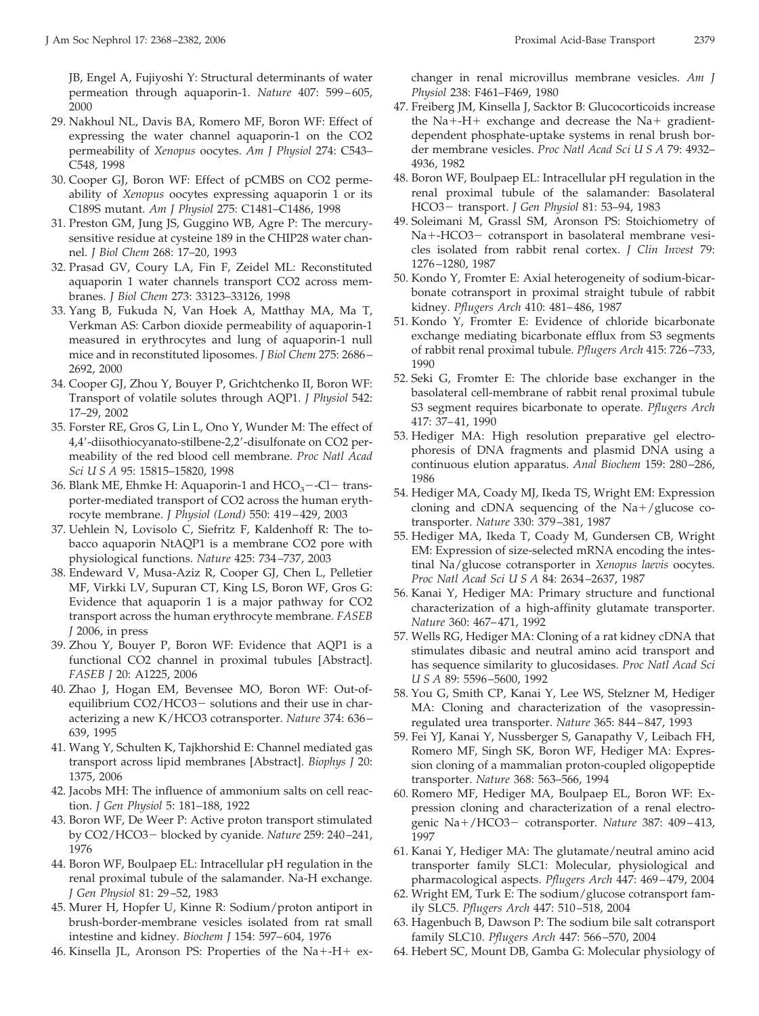JB, Engel A, Fujiyoshi Y: Structural determinants of water permeation through aquaporin-1. *Nature* 407: 599-605, 2000

- 29. Nakhoul NL, Davis BA, Romero MF, Boron WF: Effect of expressing the water channel aquaporin-1 on the CO2 permeability of *Xenopus* oocytes. *Am J Physiol* 274: C543– C548, 1998
- 30. Cooper GJ, Boron WF: Effect of pCMBS on CO2 permeability of *Xenopus* oocytes expressing aquaporin 1 or its C189S mutant. *Am J Physiol* 275: C1481–C1486, 1998
- 31. Preston GM, Jung JS, Guggino WB, Agre P: The mercurysensitive residue at cysteine 189 in the CHIP28 water channel. *J Biol Chem* 268: 17–20, 1993
- 32. Prasad GV, Coury LA, Fin F, Zeidel ML: Reconstituted aquaporin 1 water channels transport CO2 across membranes. *J Biol Chem* 273: 33123–33126, 1998
- 33. Yang B, Fukuda N, Van Hoek A, Matthay MA, Ma T, Verkman AS: Carbon dioxide permeability of aquaporin-1 measured in erythrocytes and lung of aquaporin-1 null mice and in reconstituted liposomes. *J Biol Chem* 275: 2686 – 2692, 2000
- 34. Cooper GJ, Zhou Y, Bouyer P, Grichtchenko II, Boron WF: Transport of volatile solutes through AQP1. *J Physiol* 542: 17–29, 2002
- 35. Forster RE, Gros G, Lin L, Ono Y, Wunder M: The effect of 4,4-diisothiocyanato-stilbene-2,2-disulfonate on CO2 permeability of the red blood cell membrane. *Proc Natl Acad Sci U S A* 95: 15815–15820, 1998
- 36. Blank ME, Ehmke H: Aquaporin-1 and  $HCO<sub>3</sub> Cl trans$ porter-mediated transport of CO2 across the human erythrocyte membrane. *J Physiol (Lond)* 550: 419 – 429, 2003
- 37. Uehlein N, Lovisolo C, Siefritz F, Kaldenhoff R: The tobacco aquaporin NtAQP1 is a membrane CO2 pore with physiological functions. *Nature* 425: 734 –737, 2003
- 38. Endeward V, Musa-Aziz R, Cooper GJ, Chen L, Pelletier MF, Virkki LV, Supuran CT, King LS, Boron WF, Gros G: Evidence that aquaporin 1 is a major pathway for CO2 transport across the human erythrocyte membrane. *FASEB J* 2006, in press
- 39. Zhou Y, Bouyer P, Boron WF: Evidence that AQP1 is a functional CO2 channel in proximal tubules [Abstract]. *FASEB J* 20: A1225, 2006
- 40. Zhao J, Hogan EM, Bevensee MO, Boron WF: Out-ofequilibrium CO2/HCO3- solutions and their use in characterizing a new K/HCO3 cotransporter. *Nature* 374: 636 – 639, 1995
- 41. Wang Y, Schulten K, Tajkhorshid E: Channel mediated gas transport across lipid membranes [Abstract]. *Biophys J* 20: 1375, 2006
- 42. Jacobs MH: The influence of ammonium salts on cell reaction. *J Gen Physiol* 5: 181–188, 1922
- 43. Boron WF, De Weer P: Active proton transport stimulated by CO2/HCO3 blocked by cyanide. *Nature* 259: 240 –241, 1976
- 44. Boron WF, Boulpaep EL: Intracellular pH regulation in the renal proximal tubule of the salamander. Na-H exchange. *J Gen Physiol* 81: 29 –52, 1983
- 45. Murer H, Hopfer U, Kinne R: Sodium/proton antiport in brush-border-membrane vesicles isolated from rat small intestine and kidney. *Biochem J* 154: 597– 604, 1976
- 46. Kinsella JL, Aronson PS: Properties of the Na+-H+ ex-

J Am Soc Nephrol 17: 2368 –2382, 2006 Proximal Acid-Base Transport 2379

changer in renal microvillus membrane vesicles. *Am J Physiol* 238: F461–F469, 1980

- 47. Freiberg JM, Kinsella J, Sacktor B: Glucocorticoids increase the  $Na + -H +$  exchange and decrease the  $Na +$  gradientdependent phosphate-uptake systems in renal brush border membrane vesicles. *Proc Natl Acad Sci U S A* 79: 4932– 4936, 1982
- 48. Boron WF, Boulpaep EL: Intracellular pH regulation in the renal proximal tubule of the salamander: Basolateral HCO3 transport. *J Gen Physiol* 81: 53–94, 1983
- 49. Soleimani M, Grassl SM, Aronson PS: Stoichiometry of Na+-HCO3- cotransport in basolateral membrane vesicles isolated from rabbit renal cortex. *J Clin Invest* 79: 1276 –1280, 1987
- 50. Kondo Y, Fromter E: Axial heterogeneity of sodium-bicarbonate cotransport in proximal straight tubule of rabbit kidney. *Pflugers Arch* 410: 481– 486, 1987
- 51. Kondo Y, Fromter E: Evidence of chloride bicarbonate exchange mediating bicarbonate efflux from S3 segments of rabbit renal proximal tubule. *Pflugers Arch* 415: 726 –733, 1990
- 52. Seki G, Fromter E: The chloride base exchanger in the basolateral cell-membrane of rabbit renal proximal tubule S3 segment requires bicarbonate to operate. *Pflugers Arch* 417: 37– 41, 1990
- 53. Hediger MA: High resolution preparative gel electrophoresis of DNA fragments and plasmid DNA using a continuous elution apparatus. *Anal Biochem* 159: 280 –286, 1986
- 54. Hediger MA, Coady MJ, Ikeda TS, Wright EM: Expression cloning and cDNA sequencing of the  $Na+/glu\cos\theta$  cotransporter. *Nature* 330: 379 –381, 1987
- 55. Hediger MA, Ikeda T, Coady M, Gundersen CB, Wright EM: Expression of size-selected mRNA encoding the intestinal Na/glucose cotransporter in *Xenopus laevis* oocytes. *Proc Natl Acad Sci U S A* 84: 2634 –2637, 1987
- 56. Kanai Y, Hediger MA: Primary structure and functional characterization of a high-affinity glutamate transporter. *Nature* 360: 467– 471, 1992
- 57. Wells RG, Hediger MA: Cloning of a rat kidney cDNA that stimulates dibasic and neutral amino acid transport and has sequence similarity to glucosidases. *Proc Natl Acad Sci USA* 89: 5596 –5600, 1992
- 58. You G, Smith CP, Kanai Y, Lee WS, Stelzner M, Hediger MA: Cloning and characterization of the vasopressinregulated urea transporter. *Nature* 365: 844 – 847, 1993
- 59. Fei YJ, Kanai Y, Nussberger S, Ganapathy V, Leibach FH, Romero MF, Singh SK, Boron WF, Hediger MA: Expression cloning of a mammalian proton-coupled oligopeptide transporter. *Nature* 368: 563–566, 1994
- 60. Romero MF, Hediger MA, Boulpaep EL, Boron WF: Expression cloning and characterization of a renal electrogenic Na-/HCO3 cotransporter. *Nature* 387: 409 – 413, 1997
- 61. Kanai Y, Hediger MA: The glutamate/neutral amino acid transporter family SLC1: Molecular, physiological and pharmacological aspects. *Pflugers Arch* 447: 469 – 479, 2004
- 62. Wright EM, Turk E: The sodium/glucose cotransport family SLC5. *Pflugers Arch* 447: 510 –518, 2004
- 63. Hagenbuch B, Dawson P: The sodium bile salt cotransport family SLC10. *Pflugers Arch* 447: 566 –570, 2004
- 64. Hebert SC, Mount DB, Gamba G: Molecular physiology of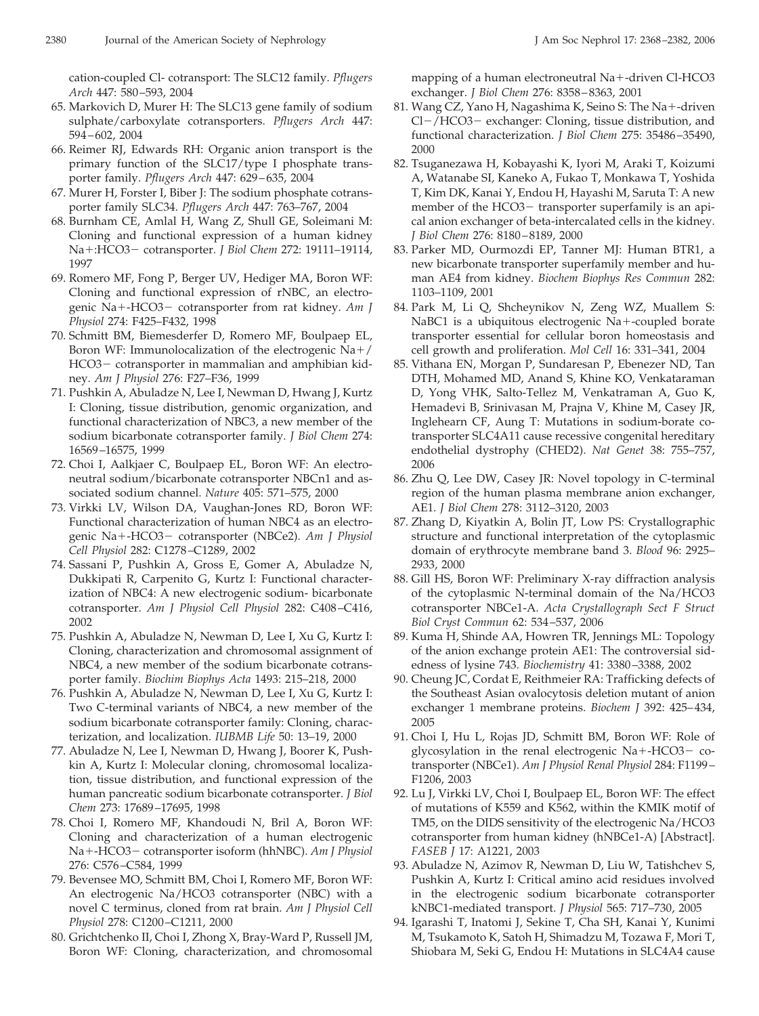cation-coupled Cl- cotransport: The SLC12 family. *Pflugers Arch* 447: 580 –593, 2004

- 65. Markovich D, Murer H: The SLC13 gene family of sodium sulphate/carboxylate cotransporters. *Pflugers Arch* 447: 594 – 602, 2004
- 66. Reimer RJ, Edwards RH: Organic anion transport is the primary function of the SLC17/type I phosphate transporter family. *Pflugers Arch* 447: 629 – 635, 2004
- 67. Murer H, Forster I, Biber J: The sodium phosphate cotransporter family SLC34. *Pflugers Arch* 447: 763–767, 2004
- 68. Burnham CE, Amlal H, Wang Z, Shull GE, Soleimani M: Cloning and functional expression of a human kidney Na+:HCO3- cotransporter. *J Biol Chem 272*: 19111-19114, 1997
- 69. Romero MF, Fong P, Berger UV, Hediger MA, Boron WF: Cloning and functional expression of rNBC, an electrogenic Na+-HCO3- cotransporter from rat kidney. *Am J Physiol* 274: F425–F432, 1998
- 70. Schmitt BM, Biemesderfer D, Romero MF, Boulpaep EL, Boron WF: Immunolocalization of the electrogenic Na+/ HCO3- cotransporter in mammalian and amphibian kidney. *Am J Physiol* 276: F27–F36, 1999
- 71. Pushkin A, Abuladze N, Lee I, Newman D, Hwang J, Kurtz I: Cloning, tissue distribution, genomic organization, and functional characterization of NBC3, a new member of the sodium bicarbonate cotransporter family. *J Biol Chem* 274: 16569 –16575, 1999
- 72. Choi I, Aalkjaer C, Boulpaep EL, Boron WF: An electroneutral sodium/bicarbonate cotransporter NBCn1 and associated sodium channel. *Nature* 405: 571–575, 2000
- 73. Virkki LV, Wilson DA, Vaughan-Jones RD, Boron WF: Functional characterization of human NBC4 as an electrogenic Na+-HCO3- cotransporter (NBCe2). Am J Physiol *Cell Physiol* 282: C1278 –C1289, 2002
- 74. Sassani P, Pushkin A, Gross E, Gomer A, Abuladze N, Dukkipati R, Carpenito G, Kurtz I: Functional characterization of NBC4: A new electrogenic sodium- bicarbonate cotransporter. *Am J Physiol Cell Physiol* 282: C408 –C416, 2002
- 75. Pushkin A, Abuladze N, Newman D, Lee I, Xu G, Kurtz I: Cloning, characterization and chromosomal assignment of NBC4, a new member of the sodium bicarbonate cotransporter family. *Biochim Biophys Acta* 1493: 215–218, 2000
- 76. Pushkin A, Abuladze N, Newman D, Lee I, Xu G, Kurtz I: Two C-terminal variants of NBC4, a new member of the sodium bicarbonate cotransporter family: Cloning, characterization, and localization. *IUBMB Life* 50: 13–19, 2000
- 77. Abuladze N, Lee I, Newman D, Hwang J, Boorer K, Pushkin A, Kurtz I: Molecular cloning, chromosomal localization, tissue distribution, and functional expression of the human pancreatic sodium bicarbonate cotransporter. *J Biol Chem* 273: 17689 –17695, 1998
- 78. Choi I, Romero MF, Khandoudi N, Bril A, Boron WF: Cloning and characterization of a human electrogenic Na--HCO3 cotransporter isoform (hhNBC). *Am J Physiol* 276: C576 –C584, 1999
- 79. Bevensee MO, Schmitt BM, Choi I, Romero MF, Boron WF: An electrogenic Na/HCO3 cotransporter (NBC) with a novel C terminus, cloned from rat brain. *Am J Physiol Cell Physiol* 278: C1200 –C1211, 2000
- 80. Grichtchenko II, Choi I, Zhong X, Bray-Ward P, Russell JM, Boron WF: Cloning, characterization, and chromosomal

mapping of a human electroneutral Na+-driven Cl-HCO3 exchanger. *J Biol Chem* 276: 8358 – 8363, 2001

- 81. Wang CZ, Yano H, Nagashima K, Seino S: The Na+-driven  $Cl$  –/HCO3 – exchanger: Cloning, tissue distribution, and functional characterization. *J Biol Chem* 275: 35486 –35490, 2000
- 82. Tsuganezawa H, Kobayashi K, Iyori M, Araki T, Koizumi A, Watanabe SI, Kaneko A, Fukao T, Monkawa T, Yoshida T, Kim DK, Kanai Y, Endou H, Hayashi M, Saruta T: A new member of the HCO3- transporter superfamily is an apical anion exchanger of beta-intercalated cells in the kidney. *J Biol Chem* 276: 8180 – 8189, 2000
- 83. Parker MD, Ourmozdi EP, Tanner MJ: Human BTR1, a new bicarbonate transporter superfamily member and human AE4 from kidney. *Biochem Biophys Res Commun* 282: 1103–1109, 2001
- 84. Park M, Li Q, Shcheynikov N, Zeng WZ, Muallem S: NaBC1 is a ubiquitous electrogenic Na+-coupled borate transporter essential for cellular boron homeostasis and cell growth and proliferation. *Mol Cell* 16: 331–341, 2004
- 85. Vithana EN, Morgan P, Sundaresan P, Ebenezer ND, Tan DTH, Mohamed MD, Anand S, Khine KO, Venkataraman D, Yong VHK, Salto-Tellez M, Venkatraman A, Guo K, Hemadevi B, Srinivasan M, Prajna V, Khine M, Casey JR, Inglehearn CF, Aung T: Mutations in sodium-borate cotransporter SLC4A11 cause recessive congenital hereditary endothelial dystrophy (CHED2). *Nat Genet* 38: 755–757, 2006
- 86. Zhu Q, Lee DW, Casey JR: Novel topology in C-terminal region of the human plasma membrane anion exchanger, AE1. *J Biol Chem* 278: 3112–3120, 2003
- 87. Zhang D, Kiyatkin A, Bolin JT, Low PS: Crystallographic structure and functional interpretation of the cytoplasmic domain of erythrocyte membrane band 3. *Blood* 96: 2925– 2933, 2000
- 88. Gill HS, Boron WF: Preliminary X-ray diffraction analysis of the cytoplasmic N-terminal domain of the Na/HCO3 cotransporter NBCe1-A. *Acta Crystallograph Sect F Struct Biol Cryst Commun* 62: 534 –537, 2006
- 89. Kuma H, Shinde AA, Howren TR, Jennings ML: Topology of the anion exchange protein AE1: The controversial sidedness of lysine 743. *Biochemistry* 41: 3380 –3388, 2002
- 90. Cheung JC, Cordat E, Reithmeier RA: Trafficking defects of the Southeast Asian ovalocytosis deletion mutant of anion exchanger 1 membrane proteins. *Biochem J* 392: 425– 434, 2005
- 91. Choi I, Hu L, Rojas JD, Schmitt BM, Boron WF: Role of glycosylation in the renal electrogenic Na+-HCO3- cotransporter (NBCe1). *Am J Physiol Renal Physiol* 284: F1199 – F1206, 2003
- 92. Lu J, Virkki LV, Choi I, Boulpaep EL, Boron WF: The effect of mutations of K559 and K562, within the KMIK motif of TM5, on the DIDS sensitivity of the electrogenic Na/HCO3 cotransporter from human kidney (hNBCe1-A) [Abstract]. *FASEB J* 17: A1221, 2003
- 93. Abuladze N, Azimov R, Newman D, Liu W, Tatishchev S, Pushkin A, Kurtz I: Critical amino acid residues involved in the electrogenic sodium bicarbonate cotransporter kNBC1-mediated transport. *J Physiol* 565: 717–730, 2005
- 94. Igarashi T, Inatomi J, Sekine T, Cha SH, Kanai Y, Kunimi M, Tsukamoto K, Satoh H, Shimadzu M, Tozawa F, Mori T, Shiobara M, Seki G, Endou H: Mutations in SLC4A4 cause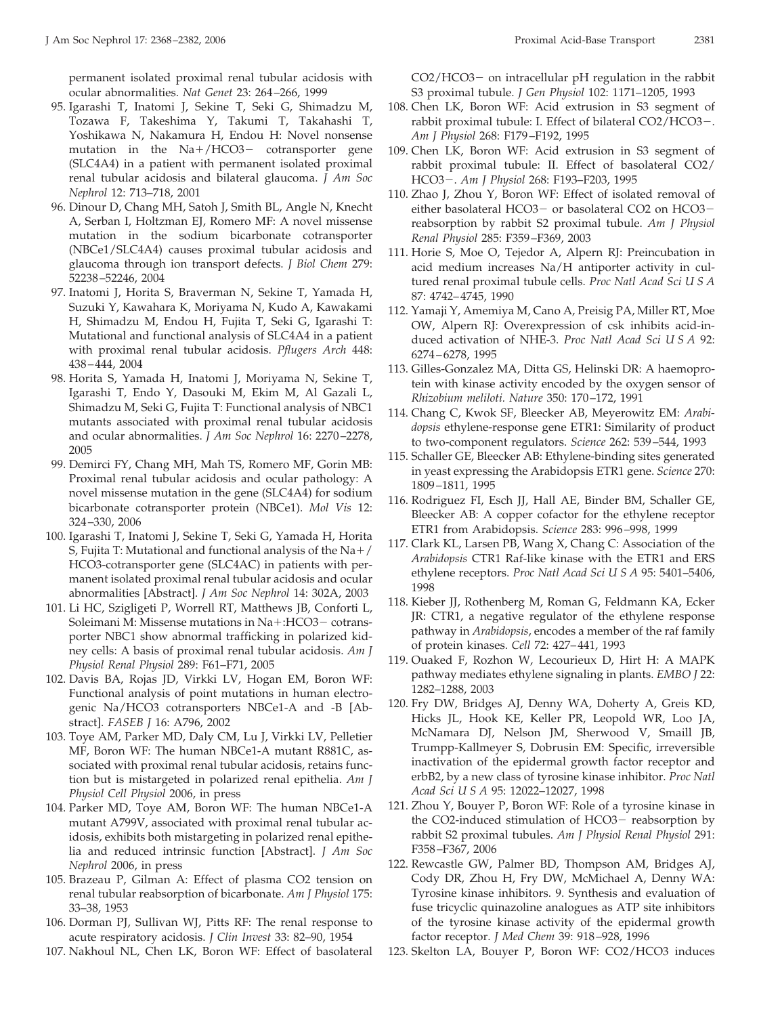permanent isolated proximal renal tubular acidosis with ocular abnormalities. *Nat Genet* 23: 264 –266, 1999

- 95. Igarashi T, Inatomi J, Sekine T, Seki G, Shimadzu M, Tozawa F, Takeshima Y, Takumi T, Takahashi T, Yoshikawa N, Nakamura H, Endou H: Novel nonsense mutation in the Na+/HCO3- cotransporter gene (SLC4A4) in a patient with permanent isolated proximal renal tubular acidosis and bilateral glaucoma. *J Am Soc Nephrol* 12: 713–718, 2001
- 96. Dinour D, Chang MH, Satoh J, Smith BL, Angle N, Knecht A, Serban I, Holtzman EJ, Romero MF: A novel missense mutation in the sodium bicarbonate cotransporter (NBCe1/SLC4A4) causes proximal tubular acidosis and glaucoma through ion transport defects. *J Biol Chem* 279: 52238 –52246, 2004
- 97. Inatomi J, Horita S, Braverman N, Sekine T, Yamada H, Suzuki Y, Kawahara K, Moriyama N, Kudo A, Kawakami H, Shimadzu M, Endou H, Fujita T, Seki G, Igarashi T: Mutational and functional analysis of SLC4A4 in a patient with proximal renal tubular acidosis. *Pflugers Arch* 448: 438 – 444, 2004
- 98. Horita S, Yamada H, Inatomi J, Moriyama N, Sekine T, Igarashi T, Endo Y, Dasouki M, Ekim M, Al Gazali L, Shimadzu M, Seki G, Fujita T: Functional analysis of NBC1 mutants associated with proximal renal tubular acidosis and ocular abnormalities. *J Am Soc Nephrol* 16: 2270 –2278, 2005
- 99. Demirci FY, Chang MH, Mah TS, Romero MF, Gorin MB: Proximal renal tubular acidosis and ocular pathology: A novel missense mutation in the gene (SLC4A4) for sodium bicarbonate cotransporter protein (NBCe1). *Mol Vis* 12: 324 –330, 2006
- 100. Igarashi T, Inatomi J, Sekine T, Seki G, Yamada H, Horita S, Fujita T: Mutational and functional analysis of the  $\mathrm{Na{+}}/\mathrm{}$ HCO3-cotransporter gene (SLC4AC) in patients with permanent isolated proximal renal tubular acidosis and ocular abnormalities [Abstract]. *J Am Soc Nephrol* 14: 302A, 2003
- 101. Li HC, Szigligeti P, Worrell RT, Matthews JB, Conforti L, Soleimani M: Missense mutations in Na+:HCO3- cotransporter NBC1 show abnormal trafficking in polarized kidney cells: A basis of proximal renal tubular acidosis. *Am J Physiol Renal Physiol* 289: F61–F71, 2005
- 102. Davis BA, Rojas JD, Virkki LV, Hogan EM, Boron WF: Functional analysis of point mutations in human electrogenic Na/HCO3 cotransporters NBCe1-A and -B [Abstract]. *FASEB J* 16: A796, 2002
- 103. Toye AM, Parker MD, Daly CM, Lu J, Virkki LV, Pelletier MF, Boron WF: The human NBCe1-A mutant R881C, associated with proximal renal tubular acidosis, retains function but is mistargeted in polarized renal epithelia. *Am J Physiol Cell Physiol* 2006, in press
- 104. Parker MD, Toye AM, Boron WF: The human NBCe1-A mutant A799V, associated with proximal renal tubular acidosis, exhibits both mistargeting in polarized renal epithelia and reduced intrinsic function [Abstract]. *J Am Soc Nephrol* 2006, in press
- 105. Brazeau P, Gilman A: Effect of plasma CO2 tension on renal tubular reabsorption of bicarbonate. *Am J Physiol* 175: 33–38, 1953
- 106. Dorman PJ, Sullivan WJ, Pitts RF: The renal response to acute respiratory acidosis. *J Clin Invest* 33: 82–90, 1954
- 107. Nakhoul NL, Chen LK, Boron WF: Effect of basolateral

CO2/HCO3- on intracellular pH regulation in the rabbit S3 proximal tubule. *J Gen Physiol* 102: 1171–1205, 1993

- 108. Chen LK, Boron WF: Acid extrusion in S3 segment of rabbit proximal tubule: I. Effect of bilateral CO2/HCO3-. *Am J Physiol* 268: F179 –F192, 1995
- 109. Chen LK, Boron WF: Acid extrusion in S3 segment of rabbit proximal tubule: II. Effect of basolateral CO2/ HCO3. *Am J Physiol* 268: F193–F203, 1995
- 110. Zhao J, Zhou Y, Boron WF: Effect of isolated removal of either basolateral HCO3- or basolateral CO2 on HCO3reabsorption by rabbit S2 proximal tubule. *Am J Physiol Renal Physiol* 285: F359 –F369, 2003
- 111. Horie S, Moe O, Tejedor A, Alpern RJ: Preincubation in acid medium increases Na/H antiporter activity in cultured renal proximal tubule cells. *Proc Natl Acad Sci U S A* 87: 4742– 4745, 1990
- 112. Yamaji Y, Amemiya M, Cano A, Preisig PA, Miller RT, Moe OW, Alpern RJ: Overexpression of csk inhibits acid-induced activation of NHE-3. *Proc Natl Acad Sci U S A* 92: 6274 – 6278, 1995
- 113. Gilles-Gonzalez MA, Ditta GS, Helinski DR: A haemoprotein with kinase activity encoded by the oxygen sensor of *Rhizobium meliloti. Nature* 350: 170 –172, 1991
- 114. Chang C, Kwok SF, Bleecker AB, Meyerowitz EM: *Arabidopsis* ethylene-response gene ETR1: Similarity of product to two-component regulators. *Science* 262: 539 –544, 1993
- 115. Schaller GE, Bleecker AB: Ethylene-binding sites generated in yeast expressing the Arabidopsis ETR1 gene. *Science* 270: 1809 –1811, 1995
- 116. Rodriguez FI, Esch JJ, Hall AE, Binder BM, Schaller GE, Bleecker AB: A copper cofactor for the ethylene receptor ETR1 from Arabidopsis. *Science* 283: 996 –998, 1999
- 117. Clark KL, Larsen PB, Wang X, Chang C: Association of the *Arabidopsis* CTR1 Raf-like kinase with the ETR1 and ERS ethylene receptors. *Proc Natl Acad Sci U S A* 95: 5401–5406, 1998
- 118. Kieber JJ, Rothenberg M, Roman G, Feldmann KA, Ecker JR: CTR1, a negative regulator of the ethylene response pathway in *Arabidopsis*, encodes a member of the raf family of protein kinases. *Cell* 72: 427– 441, 1993
- 119. Ouaked F, Rozhon W, Lecourieux D, Hirt H: A MAPK pathway mediates ethylene signaling in plants. *EMBO J* 22: 1282–1288, 2003
- 120. Fry DW, Bridges AJ, Denny WA, Doherty A, Greis KD, Hicks JL, Hook KE, Keller PR, Leopold WR, Loo JA, McNamara DJ, Nelson JM, Sherwood V, Smaill JB, Trumpp-Kallmeyer S, Dobrusin EM: Specific, irreversible inactivation of the epidermal growth factor receptor and erbB2, by a new class of tyrosine kinase inhibitor. *Proc Natl Acad Sci U S A* 95: 12022–12027, 1998
- 121. Zhou Y, Bouyer P, Boron WF: Role of a tyrosine kinase in the CO2-induced stimulation of HCO3- reabsorption by rabbit S2 proximal tubules. *Am J Physiol Renal Physiol* 291: F358 –F367, 2006
- 122. Rewcastle GW, Palmer BD, Thompson AM, Bridges AJ, Cody DR, Zhou H, Fry DW, McMichael A, Denny WA: Tyrosine kinase inhibitors. 9. Synthesis and evaluation of fuse tricyclic quinazoline analogues as ATP site inhibitors of the tyrosine kinase activity of the epidermal growth factor receptor. *J Med Chem* 39: 918 –928, 1996
- 123. Skelton LA, Bouyer P, Boron WF: CO2/HCO3 induces